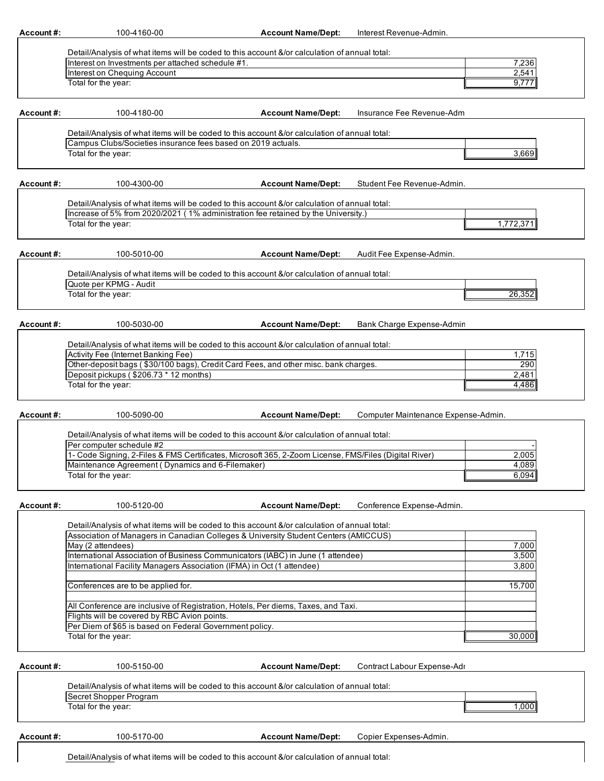| Account#: | 100-4160-00                                                            | <b>Account Name/Dept:</b>                                                                             | Interest Revenue-Admin.             |  |
|-----------|------------------------------------------------------------------------|-------------------------------------------------------------------------------------------------------|-------------------------------------|--|
|           |                                                                        |                                                                                                       |                                     |  |
|           |                                                                        | Detail/Analysis of what items will be coded to this account &/or calculation of annual total:         |                                     |  |
|           | Interest on Investments per attached schedule #1.                      |                                                                                                       | 7,236                               |  |
|           | Interest on Chequing Account                                           |                                                                                                       | 2,541                               |  |
|           | Total for the year:                                                    |                                                                                                       | 9,777                               |  |
|           |                                                                        |                                                                                                       |                                     |  |
|           |                                                                        |                                                                                                       |                                     |  |
| Account#: | 100-4180-00                                                            | <b>Account Name/Dept:</b>                                                                             | Insurance Fee Revenue-Adm           |  |
|           |                                                                        |                                                                                                       |                                     |  |
|           |                                                                        | Detail/Analysis of what items will be coded to this account &/or calculation of annual total:         |                                     |  |
|           | Campus Clubs/Societies insurance fees based on 2019 actuals.           |                                                                                                       |                                     |  |
|           | Total for the year:                                                    |                                                                                                       | 3,669                               |  |
|           |                                                                        |                                                                                                       |                                     |  |
|           |                                                                        |                                                                                                       |                                     |  |
| Account#: | 100-4300-00                                                            | <b>Account Name/Dept:</b>                                                                             | Student Fee Revenue-Admin.          |  |
|           |                                                                        |                                                                                                       |                                     |  |
|           |                                                                        | Detail/Analysis of what items will be coded to this account &/or calculation of annual total:         |                                     |  |
|           |                                                                        | Increase of 5% from 2020/2021 (1% administration fee retained by the University.)                     |                                     |  |
|           | Total for the year:                                                    |                                                                                                       | 1,772,371                           |  |
|           |                                                                        |                                                                                                       |                                     |  |
|           |                                                                        |                                                                                                       |                                     |  |
| Account#: | 100-5010-00                                                            | <b>Account Name/Dept:</b>                                                                             | Audit Fee Expense-Admin.            |  |
|           |                                                                        |                                                                                                       |                                     |  |
|           |                                                                        | Detail/Analysis of what items will be coded to this account &/or calculation of annual total:         |                                     |  |
|           | Quote per KPMG - Audit                                                 |                                                                                                       |                                     |  |
|           | Total for the year:                                                    |                                                                                                       | 26,352                              |  |
|           |                                                                        |                                                                                                       |                                     |  |
|           |                                                                        |                                                                                                       |                                     |  |
| Account#: | 100-5030-00                                                            | <b>Account Name/Dept:</b>                                                                             | Bank Charge Expense-Admin           |  |
|           |                                                                        |                                                                                                       |                                     |  |
|           |                                                                        | Detail/Analysis of what items will be coded to this account &/or calculation of annual total:         |                                     |  |
|           | Activity Fee (Internet Banking Fee)                                    |                                                                                                       | 1,715                               |  |
|           |                                                                        | Other-deposit bags (\$30/100 bags), Credit Card Fees, and other misc. bank charges.                   | 290                                 |  |
|           | Deposit pickups (\$206.73 * 12 months)                                 |                                                                                                       | 2,481                               |  |
|           | Total for the year:                                                    |                                                                                                       | 4,486                               |  |
|           |                                                                        |                                                                                                       |                                     |  |
|           |                                                                        |                                                                                                       |                                     |  |
| Account#: | 100-5090-00                                                            | <b>Account Name/Dept:</b>                                                                             | Computer Maintenance Expense-Admin. |  |
|           |                                                                        | Detail/Analysis of what items will be coded to this account &/or calculation of annual total:         |                                     |  |
|           | Per computer schedule #2                                               |                                                                                                       |                                     |  |
|           |                                                                        | 1- Code Signing, 2-Files & FMS Certificates, Microsoft 365, 2-Zoom License, FMS/Files (Digital River) | 2,005                               |  |
|           | Maintenance Agreement (Dynamics and 6-Filemaker)                       |                                                                                                       | 4,089                               |  |
|           | Total for the year:                                                    |                                                                                                       | 6,094                               |  |
|           |                                                                        |                                                                                                       |                                     |  |
|           |                                                                        |                                                                                                       |                                     |  |
| Account#: | 100-5120-00                                                            | <b>Account Name/Dept:</b>                                                                             | Conference Expense-Admin.           |  |
|           |                                                                        |                                                                                                       |                                     |  |
|           |                                                                        | Detail/Analysis of what items will be coded to this account &/or calculation of annual total:         |                                     |  |
|           |                                                                        | Association of Managers in Canadian Colleges & University Student Centers (AMICCUS)                   |                                     |  |
|           | May (2 attendees)                                                      |                                                                                                       | 7,000                               |  |
|           |                                                                        | International Association of Business Communicators (IABC) in June (1 attendee)                       | 3,500                               |  |
|           | International Facility Managers Association (IFMA) in Oct (1 attendee) |                                                                                                       | 3,800                               |  |
|           |                                                                        |                                                                                                       |                                     |  |
|           | Conferences are to be applied for.                                     |                                                                                                       | 15,700                              |  |
|           |                                                                        |                                                                                                       |                                     |  |
|           |                                                                        | All Conference are inclusive of Registration, Hotels, Per diems, Taxes, and Taxi.                     |                                     |  |
|           | Flights will be covered by RBC Avion points.                           |                                                                                                       |                                     |  |
|           | Per Diem of \$65 is based on Federal Government policy.                |                                                                                                       |                                     |  |
|           | Total for the year:                                                    |                                                                                                       | 30,000                              |  |
|           |                                                                        |                                                                                                       |                                     |  |
|           |                                                                        |                                                                                                       |                                     |  |
| Account#: | 100-5150-00                                                            | <b>Account Name/Dept:</b>                                                                             | Contract Labour Expense-Adr         |  |
|           |                                                                        |                                                                                                       |                                     |  |
|           |                                                                        | Detail/Analysis of what items will be coded to this account &/or calculation of annual total:         |                                     |  |
|           | Secret Shopper Program                                                 |                                                                                                       |                                     |  |
|           | Total for the year:                                                    |                                                                                                       | 1,000                               |  |
|           |                                                                        |                                                                                                       |                                     |  |
|           |                                                                        |                                                                                                       |                                     |  |
|           |                                                                        |                                                                                                       |                                     |  |
| Account#: | 100-5170-00                                                            | <b>Account Name/Dept:</b>                                                                             | Copier Expenses-Admin.              |  |

 $\overline{\phantom{a}}$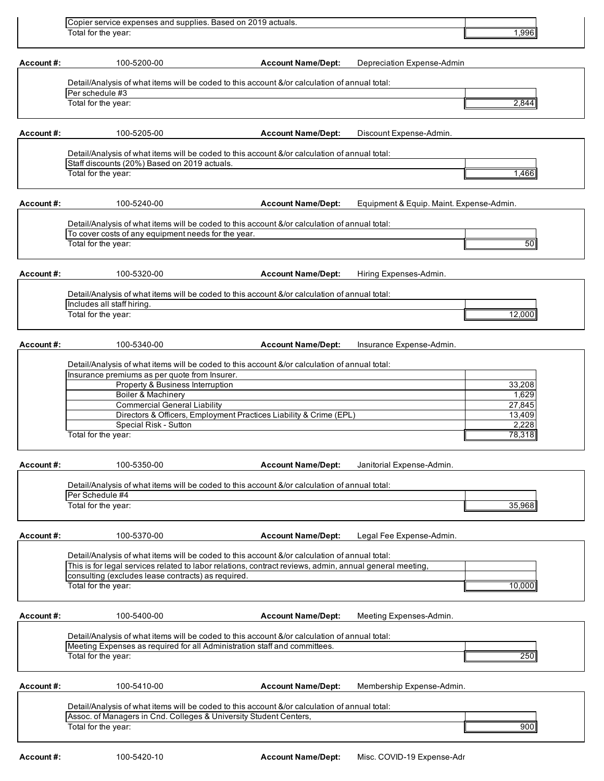|            | Copier service expenses and supplies. Based on 2019 actuals.                                                                                  |                                                                    |                                          |
|------------|-----------------------------------------------------------------------------------------------------------------------------------------------|--------------------------------------------------------------------|------------------------------------------|
|            | Total for the year:                                                                                                                           |                                                                    | 1,996                                    |
| Account#:  | 100-5200-00                                                                                                                                   | <b>Account Name/Dept:</b>                                          | Depreciation Expense-Admin               |
|            | Detail/Analysis of what items will be coded to this account &/or calculation of annual total:                                                 |                                                                    |                                          |
|            | Per schedule #3                                                                                                                               |                                                                    |                                          |
|            | Total for the year:                                                                                                                           |                                                                    | 2,844                                    |
| Account#:  | 100-5205-00                                                                                                                                   | <b>Account Name/Dept:</b>                                          | Discount Expense-Admin.                  |
|            | Detail/Analysis of what items will be coded to this account &/or calculation of annual total:<br>Staff discounts (20%) Based on 2019 actuals. |                                                                    |                                          |
|            | Total for the year:                                                                                                                           |                                                                    | 1,466                                    |
| Account#:  | 100-5240-00                                                                                                                                   | <b>Account Name/Dept:</b>                                          | Equipment & Equip. Maint. Expense-Admin. |
|            | Detail/Analysis of what items will be coded to this account &/or calculation of annual total:                                                 |                                                                    |                                          |
|            | To cover costs of any equipment needs for the year.<br>Total for the year:                                                                    |                                                                    | 50                                       |
|            |                                                                                                                                               |                                                                    |                                          |
| Account#:  | 100-5320-00                                                                                                                                   | <b>Account Name/Dept:</b>                                          | Hiring Expenses-Admin.                   |
|            | Detail/Analysis of what items will be coded to this account &/or calculation of annual total:                                                 |                                                                    |                                          |
|            | Includes all staff hiring.                                                                                                                    |                                                                    |                                          |
|            | Total for the year:                                                                                                                           |                                                                    | 12,000                                   |
| Account#:  | 100-5340-00                                                                                                                                   | <b>Account Name/Dept:</b>                                          | Insurance Expense-Admin.                 |
|            | Detail/Analysis of what items will be coded to this account &/or calculation of annual total:                                                 |                                                                    |                                          |
|            | Insurance premiums as per quote from Insurer.                                                                                                 |                                                                    |                                          |
|            | Property & Business Interruption<br><b>Boiler &amp; Machinery</b>                                                                             |                                                                    | 33,208<br>1,629                          |
|            | <b>Commercial General Liability</b>                                                                                                           |                                                                    | 27,845                                   |
|            |                                                                                                                                               | Directors & Officers, Employment Practices Liability & Crime (EPL) | 13,409                                   |
|            | Special Risk - Sutton                                                                                                                         |                                                                    | 2,228                                    |
|            | Total for the year:                                                                                                                           |                                                                    | 78,318                                   |
| Account#:  | 100-5350-00                                                                                                                                   | <b>Account Name/Dept:</b>                                          | Janitorial Expense-Admin.                |
|            | Detail/Analysis of what items will be coded to this account &/or calculation of annual total:                                                 |                                                                    |                                          |
|            | Per Schedule #4<br>Total for the year:                                                                                                        |                                                                    | 35,968                                   |
|            |                                                                                                                                               |                                                                    |                                          |
| Account#:  | 100-5370-00                                                                                                                                   | <b>Account Name/Dept:</b>                                          | Legal Fee Expense-Admin.                 |
|            | Detail/Analysis of what items will be coded to this account &/or calculation of annual total:                                                 |                                                                    |                                          |
|            | This is for legal services related to labor relations, contract reviews, admin, annual general meeting,                                       |                                                                    |                                          |
|            | consulting (excludes lease contracts) as required.<br>Total for the year:                                                                     |                                                                    | 10,000                                   |
| Account #: | 100-5400-00                                                                                                                                   | <b>Account Name/Dept:</b>                                          | Meeting Expenses-Admin.                  |
|            | Detail/Analysis of what items will be coded to this account &/or calculation of annual total:                                                 |                                                                    |                                          |
|            | Meeting Expenses as required for all Administration staff and committees.                                                                     |                                                                    |                                          |
|            | Total for the year:                                                                                                                           |                                                                    | 250                                      |
| Account#:  | 100-5410-00                                                                                                                                   | <b>Account Name/Dept:</b>                                          | Membership Expense-Admin.                |
|            | Detail/Analysis of what items will be coded to this account &/or calculation of annual total:                                                 |                                                                    |                                          |
|            | Assoc. of Managers in Cnd. Colleges & University Student Centers,                                                                             |                                                                    |                                          |
|            | Total for the year:                                                                                                                           |                                                                    | 900                                      |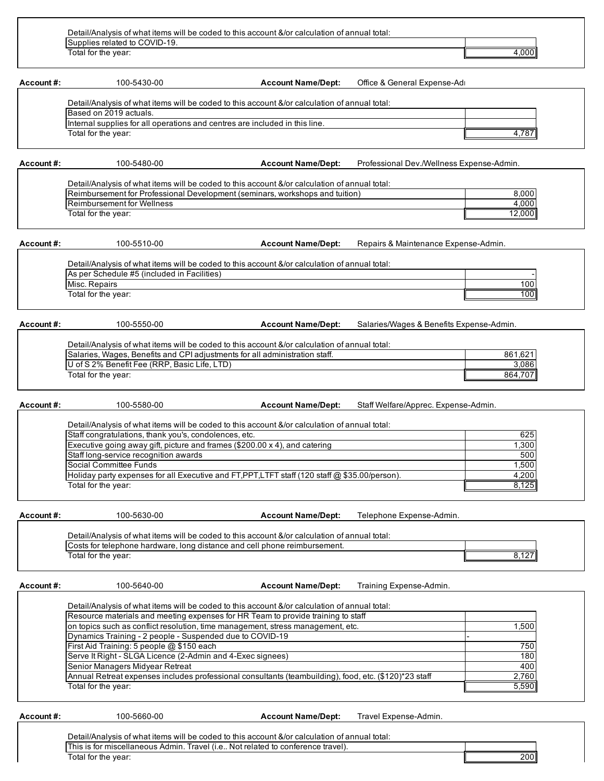| Total for the year:    |                           |                                                                             | 4,000                                                                                         |
|------------------------|---------------------------|-----------------------------------------------------------------------------|-----------------------------------------------------------------------------------------------|
|                        |                           |                                                                             |                                                                                               |
|                        |                           |                                                                             |                                                                                               |
| 100-5430-00            | <b>Account Name/Dept:</b> | Office & General Expense-Adr                                                |                                                                                               |
|                        |                           |                                                                             |                                                                                               |
|                        |                           |                                                                             |                                                                                               |
| Based on 2019 actuals. |                           |                                                                             |                                                                                               |
|                        |                           |                                                                             |                                                                                               |
|                        |                           |                                                                             | 4.787                                                                                         |
|                        | Total for the year:       | Internal supplies for all operations and centres are included in this line. | Detail/Analysis of what items will be coded to this account &/or calculation of annual total: |

| Detail/Analysis of what items will be coded to this account &/or calculation of annual total: |        |
|-----------------------------------------------------------------------------------------------|--------|
| Reimbursement for Professional Development (seminars, workshops and tuition)                  | 8.000  |
| Reimbursement for Wellness                                                                    | 4.000  |
| Total for the year:                                                                           | 12.000 |

**Account #:** 100-5510-00

**Account Name/Dept:** Repairs & Maintenance Expense-Admin.

Detail/Analysis of what items will be coded to this account &/or calculation of annual total: - 100 100 As per Schedule #5 (included in Facilities) Misc. Repairs Total for the year:

**Account #:** 100-5550-00 **Account Name/Dept:** Salaries/Wages & Benefits Expense-Admin.

| Salaries, Wages, Benefits and CPI adjustments for all administration staff. | 861.621 |
|-----------------------------------------------------------------------------|---------|
| U of S 2% Benefit Fee (RRP, Basic Life, LTD)                                | 3.086   |
| Total for the year:                                                         | 864.707 |

**Account #:** 100-5580-00 **Account Name/Dept:** Staff Welfare/Apprec. Expense-Admin.

| Staff congratulations, thank you's, condolences, etc.                                                 | 625   |
|-------------------------------------------------------------------------------------------------------|-------|
| Executive going away gift, picture and frames (\$200.00 x 4), and catering                            | 1,300 |
| Staff long-service recognition awards                                                                 | 500   |
| Social Committee Funds                                                                                | 1,500 |
| Holiday party expenses for all Executive and FT, PPT, LTFT staff (120 staff $\omega$ \$35.00/person). | 4,200 |
| Total for the year:                                                                                   | 8.125 |

| Account #:          | 100-5630-00                                                                                                                                                                | <b>Account Name/Dept:</b> | Telephone Expense-Admin. |  |
|---------------------|----------------------------------------------------------------------------------------------------------------------------------------------------------------------------|---------------------------|--------------------------|--|
|                     | Detail/Analysis of what items will be coded to this account &/or calculation of annual total:<br>Costs for telephone hardware, long distance and cell phone reimbursement. |                           |                          |  |
| Total for the year: |                                                                                                                                                                            |                           |                          |  |
|                     |                                                                                                                                                                            |                           |                          |  |

**Account #:** 100-5640-00 **Account Name/Dept:** Training Expense-Admin.

8,127

| Resource materials and meeting expenses for HR Team to provide training to staff                      |       |
|-------------------------------------------------------------------------------------------------------|-------|
| on topics such as conflict resolution, time management, stress management, etc.                       | 1,500 |
| Dynamics Training - 2 people - Suspended due to COVID-19                                              |       |
| First Aid Training: 5 people @ \$150 each                                                             | 750   |
| Serve It Right - SLGA Licence (2-Admin and 4-Exec signees)                                            | 180   |
| Senior Managers Midyear Retreat                                                                       | 400   |
| Annual Retreat expenses includes professional consultants (teambuilding), food, etc. (\$120)*23 staff | 2,760 |
| Total for the year:                                                                                   | 5,590 |

**Account #:** 100-5660-00 **Account Name/Dept:** Travel Expense-Admin.

| Detail/Analysis of what items will be coded to this account &/or calculation of annual total: |       |
|-----------------------------------------------------------------------------------------------|-------|
| Travel (i.e.<br>. Not related to conterence travel).<br>This is for miscellaneous Admin.      |       |
| Total for the vear:                                                                           | 200II |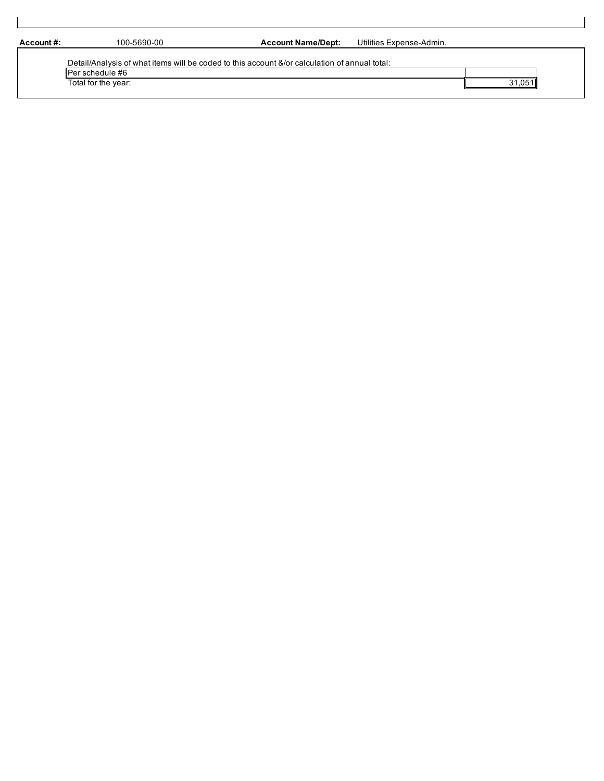**Account #:** 100-5690-00 **Account Name/Dept:** Utilities Expense-Admin.

| Detail/Analysis of what items will be coded to this account &/or calculation of annual total: |      |
|-----------------------------------------------------------------------------------------------|------|
| IPer schedule #6                                                                              |      |
| Total for the year:                                                                           | .051 |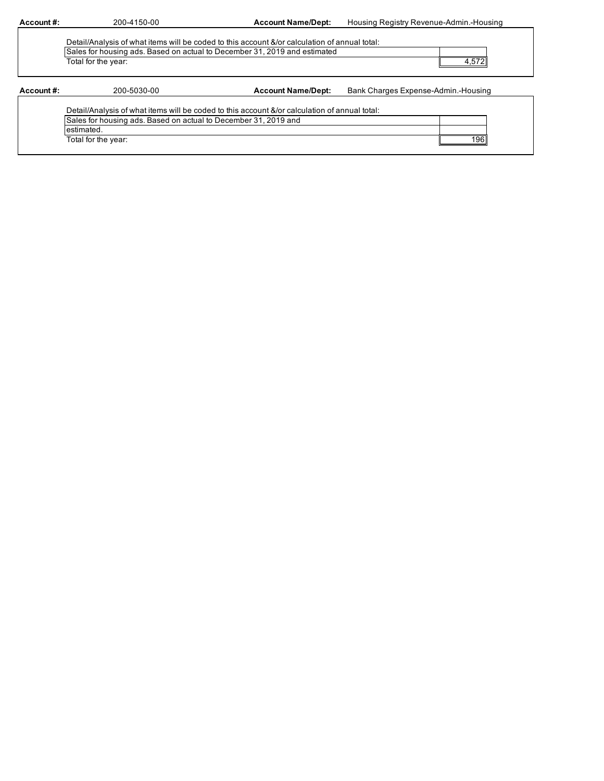| Account #: | 200-4150-00                                                                                                                                                                | <b>Account Name/Dept:</b> | Housing Registry Revenue-Admin.-Housing |  |  |
|------------|----------------------------------------------------------------------------------------------------------------------------------------------------------------------------|---------------------------|-----------------------------------------|--|--|
|            |                                                                                                                                                                            |                           |                                         |  |  |
|            | Detail/Analysis of what items will be coded to this account &/or calculation of annual total:<br>Sales for housing ads. Based on actual to December 31, 2019 and estimated |                           |                                         |  |  |
|            | Total for the year:                                                                                                                                                        |                           | 4,572                                   |  |  |
| Account #: | 200-5030-00                                                                                                                                                                | <b>Account Name/Dept:</b> | Bank Charges Expense-Admin.-Housing     |  |  |
|            | Detail/Analysis of what items will be coded to this account &/or calculation of annual total:                                                                              |                           |                                         |  |  |
|            | Sales for housing ads. Based on actual to December 31, 2019 and                                                                                                            |                           |                                         |  |  |
|            | estimated.                                                                                                                                                                 |                           |                                         |  |  |
|            |                                                                                                                                                                            |                           |                                         |  |  |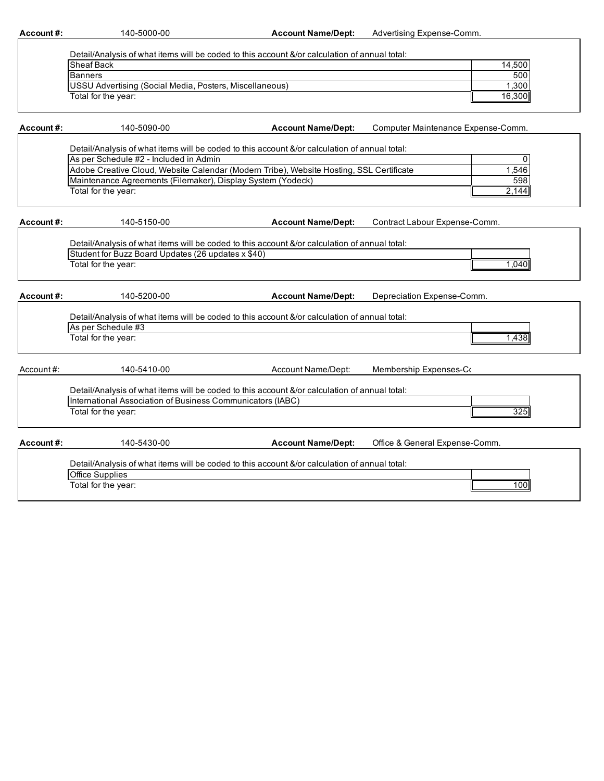| Account#:  | 140-5000-00                                                                                                        | <b>Account Name/Dept:</b> | Advertising Expense-Comm.          |
|------------|--------------------------------------------------------------------------------------------------------------------|---------------------------|------------------------------------|
|            |                                                                                                                    |                           |                                    |
|            | Detail/Analysis of what items will be coded to this account &/or calculation of annual total:<br><b>Sheaf Back</b> |                           | 14,500                             |
|            | <b>Banners</b>                                                                                                     |                           | 500                                |
|            | <b>USSU Advertising (Social Media, Posters, Miscellaneous)</b>                                                     |                           | 1.300                              |
|            | Total for the year:                                                                                                |                           | 16,300                             |
|            |                                                                                                                    |                           |                                    |
| Account#:  | 140-5090-00                                                                                                        | <b>Account Name/Dept:</b> | Computer Maintenance Expense-Comm. |
|            | Detail/Analysis of what items will be coded to this account &/or calculation of annual total:                      |                           |                                    |
|            | As per Schedule #2 - Included in Admin                                                                             |                           | 0                                  |
|            | Adobe Creative Cloud, Website Calendar (Modern Tribe), Website Hosting, SSL Certificate                            |                           | 1,546                              |
|            | Maintenance Agreements (Filemaker), Display System (Yodeck)                                                        |                           | 598                                |
|            | Total for the year:                                                                                                |                           | 2,144                              |
| Account #: | 140-5150-00                                                                                                        | <b>Account Name/Dept:</b> | Contract Labour Expense-Comm.      |
|            |                                                                                                                    |                           |                                    |
|            | Detail/Analysis of what items will be coded to this account &/or calculation of annual total:                      |                           |                                    |
|            | Student for Buzz Board Updates (26 updates x \$40)                                                                 |                           |                                    |
|            | Total for the year:                                                                                                |                           | 1,040                              |
|            |                                                                                                                    |                           |                                    |
| Account#:  | 140-5200-00                                                                                                        | <b>Account Name/Dept:</b> | Depreciation Expense-Comm.         |
|            | Detail/Analysis of what items will be coded to this account &/or calculation of annual total:                      |                           |                                    |
|            | As per Schedule #3                                                                                                 |                           |                                    |
|            | Total for the year:                                                                                                |                           | 1,438                              |
|            |                                                                                                                    |                           |                                    |
| Account#:  | 140-5410-00                                                                                                        | Account Name/Dept:        | Membership Expenses-Co             |
|            | Detail/Analysis of what items will be coded to this account &/or calculation of annual total:                      |                           |                                    |
|            | International Association of Business Communicators (IABC)                                                         |                           |                                    |
|            | Total for the year:                                                                                                |                           | 325                                |
|            |                                                                                                                    |                           |                                    |
| Account#:  | 140-5430-00                                                                                                        | <b>Account Name/Dept:</b> | Office & General Expense-Comm.     |
|            | Detail/Analysis of what items will be coded to this account &/or calculation of annual total:                      |                           |                                    |
|            | Office Supplies                                                                                                    |                           |                                    |
|            | Total for the year:                                                                                                |                           | 100                                |
|            |                                                                                                                    |                           |                                    |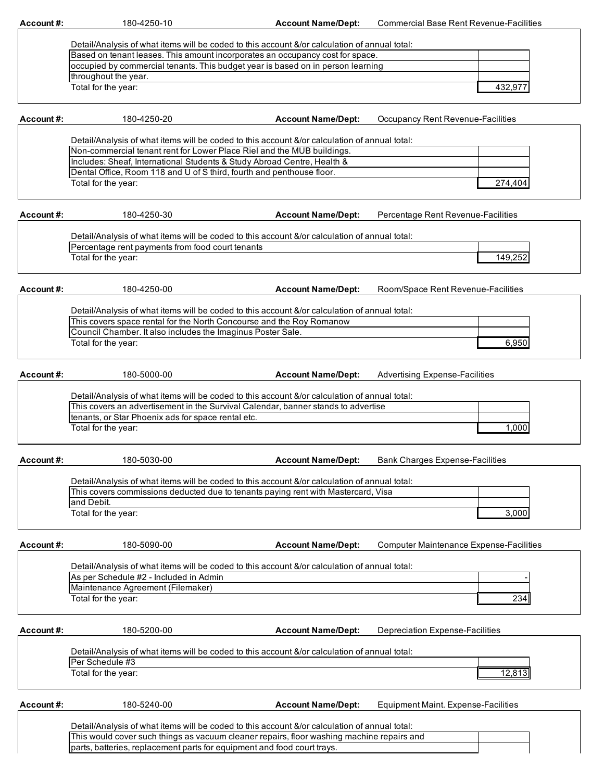**Account #:** 180-4250-10 **Account Name/Dept:** Commercial Base Rent Revenue-Facilities

| Based on tenant leases. This amount incorporates an occupancy cost for space.   |         |
|---------------------------------------------------------------------------------|---------|
| occupied by commercial tenants. This budget year is based on in person learning |         |
| throughout the year.                                                            |         |
| Total for the year:                                                             | 432.977 |

**Account #:** 180-4250-20 **Account Name/Dept:** Occupancy Rent Revenue-Facilities

| Detail/Analysis of what items will be coded to this account &/or calculation of annual total: |         |
|-----------------------------------------------------------------------------------------------|---------|
| Non-commercial tenant rent for Lower Place Riel and the MUB buildings.                        |         |
| Includes: Sheaf, International Students & Study Abroad Centre, Health &                       |         |
| Dental Office, Room 118 and U of S third, fourth and penthouse floor.                         |         |
| Total for the year:                                                                           | 274.404 |

| Account#: | 180-4250-30                                                                                   | <b>Account Name/Dept:</b> | Percentage Rent Revenue-Facilities    |
|-----------|-----------------------------------------------------------------------------------------------|---------------------------|---------------------------------------|
|           |                                                                                               |                           |                                       |
|           | Detail/Analysis of what items will be coded to this account &/or calculation of annual total: |                           |                                       |
|           | Percentage rent payments from food court tenants                                              |                           |                                       |
|           | Total for the year:                                                                           |                           | 149,252                               |
| Account#: | 180-4250-00                                                                                   | <b>Account Name/Dept:</b> | Room/Space Rent Revenue-Facilities    |
|           |                                                                                               |                           |                                       |
|           | Detail/Analysis of what items will be coded to this account &/or calculation of annual total: |                           |                                       |
|           | This covers space rental for the North Concourse and the Roy Romanow                          |                           |                                       |
|           | Council Chamber. It also includes the Imaginus Poster Sale.                                   |                           |                                       |
|           | Total for the year:                                                                           |                           | 6,950                                 |
|           |                                                                                               |                           |                                       |
| Account#: | 180-5000-00                                                                                   | <b>Account Name/Dept:</b> | <b>Advertising Expense-Facilities</b> |
|           |                                                                                               |                           |                                       |
|           | Detail/Analysis of what items will be coded to this account &/or calculation of annual total: |                           |                                       |
|           | This covers an advertisement in the Survival Calendar, banner stands to advertise             |                           |                                       |
|           | Itenants, or Star Phoenix ads for snace rental etc.                                           |                           |                                       |

tenants, or Star Phoenix ads for space rental Total for the year:

| Account #: | 180-5030-00                                                                                   | <b>Account Name/Dept:</b> | <b>Bank Charges Expense-Facilities</b> |
|------------|-----------------------------------------------------------------------------------------------|---------------------------|----------------------------------------|
|            |                                                                                               |                           |                                        |
|            | Detail/Analysis of what items will be coded to this account &/or calculation of annual total: |                           |                                        |
|            | This covers commissions deducted due to tenants paying rent with Mastercard, Visa             |                           |                                        |
|            | land Debit.                                                                                   |                           |                                        |
|            | Total for the year:                                                                           |                           | 3.000                                  |
|            |                                                                                               |                           |                                        |

| Account#: |                 |
|-----------|-----------------|
|           | Dotail/Analysis |

**Account #:** 180-5090-00

**Account Name/Dept:** Computer Maintenance Expense-Facilities

1,000

- 234 Detail/Analysis of what items will be coded to this account &/or calculation of annual total: As per Schedule #2 - Included in Admin Maintenance Agreement (Filemaker) Total for the year:

parts, batteries, replacement parts for equipment and food court trays.

**Account #:** 180-5200-00 **Account Name/Dept:** Depreciation Expense-Facilities

Account Name/Dept: Equipment Maint. Expense-Facilities

12,813 Detail/Analysis of what items will be coded to this account &/or calculation of annual total: Per Schedule #3 Total for the year:

| Account #: | 180-5240-00                                                                                   | <b>Account Name/Dept:</b> | Equipment N |
|------------|-----------------------------------------------------------------------------------------------|---------------------------|-------------|
|            |                                                                                               |                           |             |
|            | Detail/Analysis of what items will be coded to this account &/or calculation of annual total: |                           |             |
|            | This would cover such things as vacuum cleaner repairs, floor washing machine repairs and     |                           |             |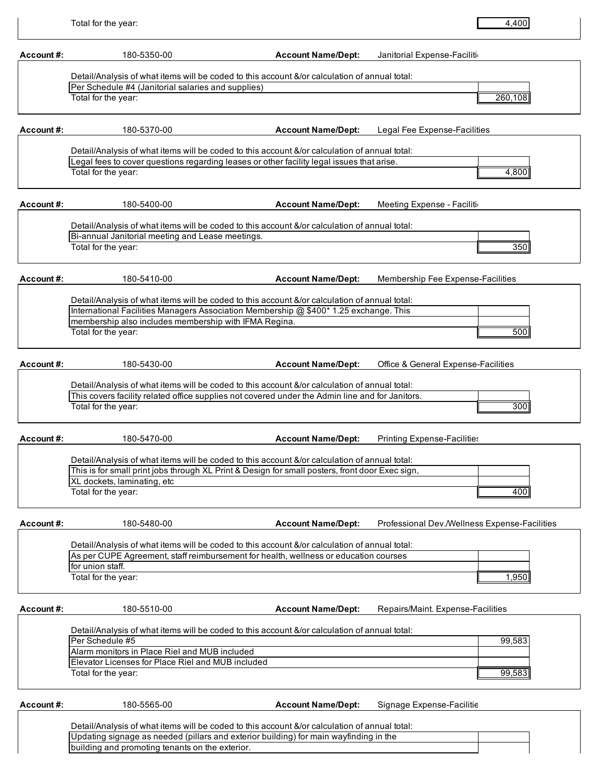| Account#:  | 180-5350-00                                                                                                                                                                           | <b>Account Name/Dept:</b> | Janitorial Expense-Faciliti                   |
|------------|---------------------------------------------------------------------------------------------------------------------------------------------------------------------------------------|---------------------------|-----------------------------------------------|
|            |                                                                                                                                                                                       |                           |                                               |
|            | Detail/Analysis of what items will be coded to this account &/or calculation of annual total:                                                                                         |                           |                                               |
|            | Per Schedule #4 (Janitorial salaries and supplies)<br>Total for the year:                                                                                                             |                           | 260,108                                       |
|            |                                                                                                                                                                                       |                           |                                               |
| Account #: | 180-5370-00                                                                                                                                                                           | <b>Account Name/Dept:</b> | Legal Fee Expense-Facilities                  |
|            |                                                                                                                                                                                       |                           |                                               |
|            | Detail/Analysis of what items will be coded to this account &/or calculation of annual total:                                                                                         |                           |                                               |
|            | Legal fees to cover questions regarding leases or other facility legal issues that arise.<br>Total for the year:                                                                      |                           | 4,800                                         |
|            |                                                                                                                                                                                       |                           |                                               |
| Account#:  | 180-5400-00                                                                                                                                                                           | <b>Account Name/Dept:</b> | Meeting Expense - Facilitio                   |
|            |                                                                                                                                                                                       |                           |                                               |
|            | Detail/Analysis of what items will be coded to this account &/or calculation of annual total:                                                                                         |                           |                                               |
|            | Bi-annual Janitorial meeting and Lease meetings.                                                                                                                                      |                           |                                               |
|            | Total for the year:                                                                                                                                                                   |                           | 350                                           |
|            |                                                                                                                                                                                       |                           |                                               |
| Account#:  | 180-5410-00                                                                                                                                                                           | <b>Account Name/Dept:</b> | Membership Fee Expense-Facilities             |
|            | Detail/Analysis of what items will be coded to this account &/or calculation of annual total:                                                                                         |                           |                                               |
|            | International Facilities Managers Association Membership @ \$400* 1.25 exchange. This                                                                                                 |                           |                                               |
|            | membership also includes membership with IFMA Regina.                                                                                                                                 |                           |                                               |
|            | Total for the year:                                                                                                                                                                   |                           | 500                                           |
|            |                                                                                                                                                                                       |                           |                                               |
| Account #: | 180-5430-00                                                                                                                                                                           | <b>Account Name/Dept:</b> | Office & General Expense-Facilities           |
|            | Detail/Analysis of what items will be coded to this account &/or calculation of annual total:                                                                                         |                           |                                               |
|            | This covers facility related office supplies not covered under the Admin line and for Janitors.                                                                                       |                           |                                               |
|            | Total for the year:                                                                                                                                                                   |                           | 300                                           |
| Account#:  | 180-5470-00                                                                                                                                                                           | <b>Account Name/Dept:</b> | <b>Printing Expense-Facilities</b>            |
|            |                                                                                                                                                                                       |                           |                                               |
|            | Detail/Analysis of what items will be coded to this account &/or calculation of annual total:                                                                                         |                           |                                               |
|            | This is for small print jobs through XL Print & Design for small posters, front door Exec sign,<br>XL dockets, laminating, etc                                                        |                           |                                               |
|            | Total for the year:                                                                                                                                                                   |                           | 400                                           |
|            |                                                                                                                                                                                       |                           |                                               |
| Account#:  | 180-5480-00                                                                                                                                                                           | <b>Account Name/Dept:</b> | Professional Dev./Wellness Expense-Facilities |
|            |                                                                                                                                                                                       |                           |                                               |
|            | Detail/Analysis of what items will be coded to this account &/or calculation of annual total:<br>As per CUPE Agreement, staff reimbursement for health, wellness or education courses |                           |                                               |
|            | for union staff.                                                                                                                                                                      |                           |                                               |
|            | Total for the year:                                                                                                                                                                   |                           | 1,950                                         |
|            |                                                                                                                                                                                       |                           |                                               |
| Account #: | 180-5510-00                                                                                                                                                                           | <b>Account Name/Dept:</b> | Repairs/Maint. Expense-Facilities             |
|            |                                                                                                                                                                                       |                           |                                               |
|            | Detail/Analysis of what items will be coded to this account &/or calculation of annual total:                                                                                         |                           |                                               |
|            | Per Schedule #5                                                                                                                                                                       |                           | 99,583                                        |
|            | Alarm monitors in Place Riel and MUB included<br>Elevator Licenses for Place Riel and MUB included                                                                                    |                           |                                               |
|            | Total for the year:                                                                                                                                                                   |                           | 99,583                                        |
|            |                                                                                                                                                                                       |                           |                                               |
| Account#:  | 180-5565-00                                                                                                                                                                           | <b>Account Name/Dept:</b> | Signage Expense-Facilitie                     |
|            |                                                                                                                                                                                       |                           |                                               |
|            | Detail/Analysis of what items will be coded to this account &/or calculation of annual total:                                                                                         |                           |                                               |
|            | Updating signage as needed (pillars and exterior building) for main wayfinding in the                                                                                                 |                           |                                               |
|            | building and promoting tenants on the exterior.                                                                                                                                       |                           |                                               |

4,400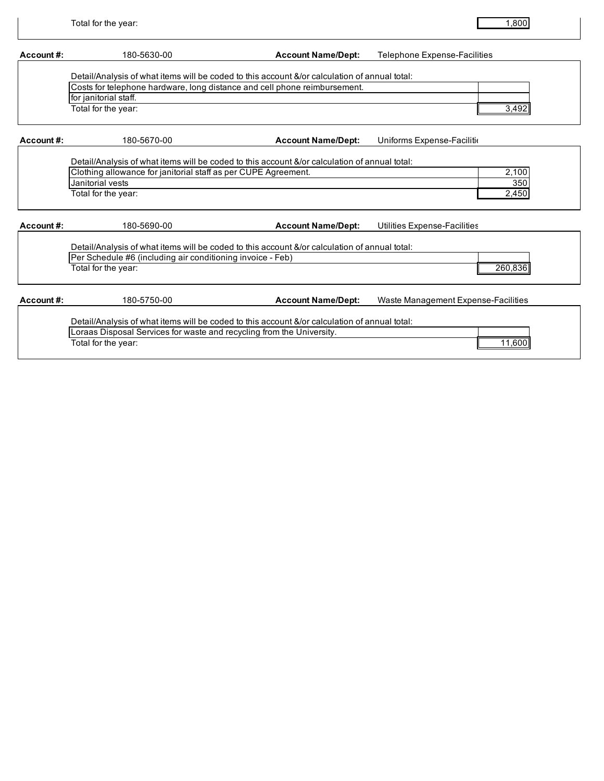| Account#: | 180-5630-00                                                                                                                                                                                                                | <b>Account Name/Dept:</b> | <b>Telephone Expense-Facilities</b> |
|-----------|----------------------------------------------------------------------------------------------------------------------------------------------------------------------------------------------------------------------------|---------------------------|-------------------------------------|
|           | Detail/Analysis of what items will be coded to this account &/or calculation of annual total:<br>Costs for telephone hardware, long distance and cell phone reimbursement.<br>for janitorial staff.<br>Total for the year: |                           | 3,492                               |
| Account#: | 180-5670-00                                                                                                                                                                                                                | <b>Account Name/Dept:</b> | Uniforms Expense-Facilition         |
|           | Detail/Analysis of what items will be coded to this account &/or calculation of annual total:<br>Clothing allowance for janitorial staff as per CUPE Agreement.<br>Janitorial vests<br>Total for the year:                 |                           | 2,100<br>350<br>2,450               |
| Account#: | 180-5690-00                                                                                                                                                                                                                | <b>Account Name/Dept:</b> | Utilities Expense-Facilities        |
|           | Detail/Analysis of what items will be coded to this account &/or calculation of annual total:<br>Per Schedule #6 (including air conditioning invoice - Feb)<br>Total for the year:                                         |                           | 260.836                             |
| Account#: | 180-5750-00                                                                                                                                                                                                                | <b>Account Name/Dept:</b> | Waste Management Expense-Facilities |
|           | Detail/Analysis of what items will be coded to this account &/or calculation of annual total:<br>Loraas Disposal Services for waste and recycling from the University.<br>Total for the year:                              |                           | 11,600                              |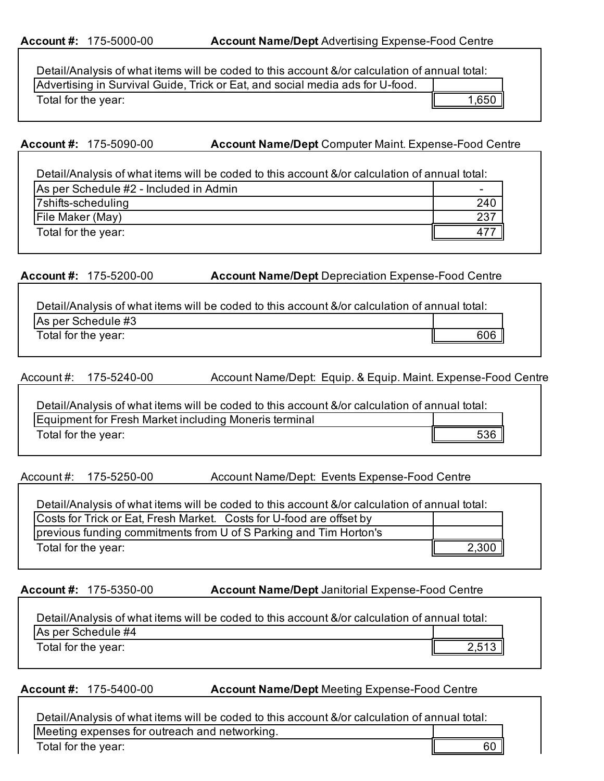## **Account #: 175-5000-00 <b>Account Name/Dept** Advertising Expense-Food Centre

| Detail/Analysis of what items will be coded to this account &/or calculation of annual total: |       |
|-----------------------------------------------------------------------------------------------|-------|
| Advertising in Survival Guide, Trick or Eat, and social media ads for U-food.                 |       |
| Total for the year:                                                                           | 1,650 |

**Account #:** 175-5090-00 **Account Name/Dept** Computer Maint. Expense-Food Centre

| Detail/Analysis of what items will be coded to this account &/or calculation of annual total: |     |
|-----------------------------------------------------------------------------------------------|-----|
| As per Schedule #2 - Included in Admin                                                        |     |
| 7shifts-scheduling                                                                            | 240 |
| File Maker (May)                                                                              | 237 |
| Total for the year:                                                                           |     |

**Account #:** 175-5200-00 **Account Name/Dept:**Depreciation Expense-Food Centre

| Detail/Analysis of what items will be coded to this account &/or calculation of annual total: |     |  |
|-----------------------------------------------------------------------------------------------|-----|--|
| As per Schedule #3                                                                            |     |  |
| Total for the year:                                                                           | 606 |  |

Account Name/Dept: Equip. & Equip. Maint. Expense-Food Centre Account  $\#$ : 175-5240-00

| Detail/Analysis of what items will be coded to this account &/or calculation of annual total: |     |
|-----------------------------------------------------------------------------------------------|-----|
| Equipment for Fresh Market including Moneris terminal                                         |     |
| Total for the year:                                                                           | 536 |

Account #: 175-5250-00 Account Name/Dept: Events Expense-Food Centre

| Detail/Analysis of what items will be coded to this account &/or calculation of annual total: |  |
|-----------------------------------------------------------------------------------------------|--|
| Costs for Trick or Eat, Fresh Market. Costs for U-food are offset by                          |  |
| previous funding commitments from U of S Parking and Tim Horton's                             |  |
| Total for the year:                                                                           |  |

**Account #: 175-5350-00 <b>Account Name/Dept** Janitorial Expense-Food Centre

| Detail/Analysis of what items will be coded to this account &/or calculation of annual total: |  |  |
|-----------------------------------------------------------------------------------------------|--|--|
| As per Schedule #4                                                                            |  |  |
| Total for the year:                                                                           |  |  |

**Account #: 175-5400-00 <b>Account Name/Dept** Meeting Expense-Food Centre

Detail/Analysis of what items will be coded to this account &/or calculation of annual total: Meeting expenses for outreach and networking. Total for the year: 60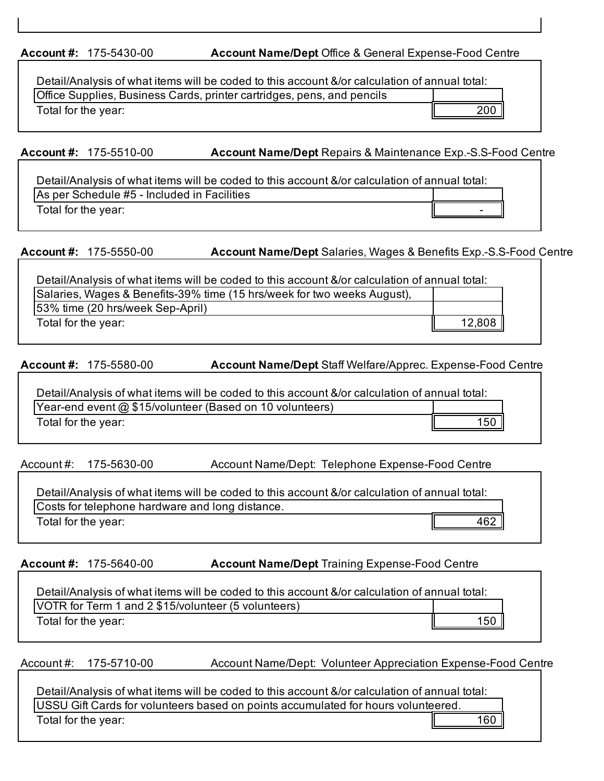**Account #:** 175-5430-00 **Account Name/Dept** Office & General Expense-Food Centre

| Detail/Analysis of what items will be coded to this account &/or calculation of annual total: |     |
|-----------------------------------------------------------------------------------------------|-----|
| Office Supplies, Business Cards, printer cartridges, pens, and pencils                        |     |
| Total for the year:                                                                           | 200 |

# **Account #:** 175-5510-00 **Account Name/Dept:**Repairs & Maintenance Exp.-S.S-Food Centre

Detail/Analysis of what items will be coded to this account &/or calculation of annual total: As per Schedule #5 - Included in Facilities Total for the year:  $\|\cdot\|$ 

# **Account #:** 175-5550-00 **Account Name/Dept:**Salaries, Wages & Benefits Exp.-S.S-Food Centre

| Detail/Analysis of what items will be coded to this account &/or calculation of annual total: |        |
|-----------------------------------------------------------------------------------------------|--------|
| Salaries, Wages & Benefits-39% time (15 hrs/week for two weeks August),                       |        |
| 53% time (20 hrs/week Sep-April)                                                              |        |
| Total for the year:                                                                           | 12,808 |
|                                                                                               |        |

**Account #:** 175-5580-00 **Account Name/Dept:**Staff Welfare/Apprec. Expense-Food Centre

| Detail/Analysis of what items will be coded to this account &/or calculation of annual total: |     |
|-----------------------------------------------------------------------------------------------|-----|
| Year-end event @ \$15/volunteer (Based on 10 volunteers)                                      |     |
| Total for the year:                                                                           | 150 |

Account #: 175-5630-00 Account Name/Dept: Telephone Expense-Food Centre

| Detail/Analysis of what items will be coded to this account &/or calculation of annual total: |     |
|-----------------------------------------------------------------------------------------------|-----|
| Costs for telephone hardware and long distance.                                               |     |
| Total for the year:                                                                           | 462 |

# **Account #: 175-5640-00 <b>Account Name/Dept** Training Expense-Food Centre

| Detail/Analysis of what items will be coded to this account &/or calculation of annual total: |     |
|-----------------------------------------------------------------------------------------------|-----|
| VOTR for Term 1 and 2 \$15/volunteer (5 volunteers)                                           |     |
| Total for the year:                                                                           | 150 |

Account #: 175-5710-00 Account Name/Dept: Volunteer Appreciation Expense-Food Centre

Detail/Analysis of what items will be coded to this account &/or calculation of annual total: USSU Gift Cards for volunteers based on points accumulated for hours volunteered. Total for the year:  $\parallel$  160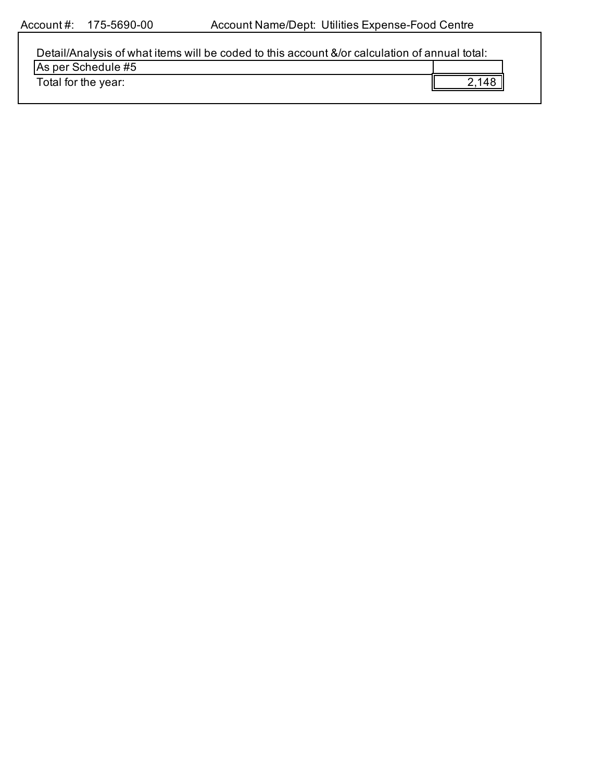| Detail/Analysis of what items will be coded to this account &/or calculation of annual total: |       |
|-----------------------------------------------------------------------------------------------|-------|
| As per Schedule #5                                                                            |       |
| Total for the year:                                                                           | 2.148 |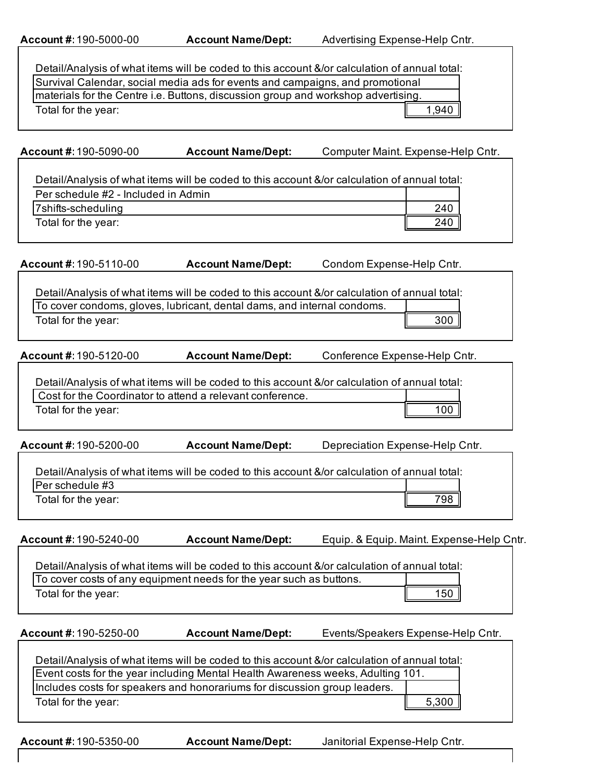| Account #: 190-5000-00              | <b>Account Name/Dept:</b>                                                         | Advertising Expense-Help Cntr.                                                                |
|-------------------------------------|-----------------------------------------------------------------------------------|-----------------------------------------------------------------------------------------------|
|                                     |                                                                                   |                                                                                               |
|                                     |                                                                                   | Detail/Analysis of what items will be coded to this account &/or calculation of annual total: |
|                                     | Survival Calendar, social media ads for events and campaigns, and promotional     |                                                                                               |
|                                     | materials for the Centre i.e. Buttons, discussion group and workshop advertising. |                                                                                               |
| Total for the year:                 |                                                                                   | 1,940                                                                                         |
|                                     |                                                                                   |                                                                                               |
|                                     |                                                                                   |                                                                                               |
| Account #: 190-5090-00              | <b>Account Name/Dept:</b>                                                         | Computer Maint. Expense-Help Cntr.                                                            |
|                                     |                                                                                   |                                                                                               |
|                                     |                                                                                   | Detail/Analysis of what items will be coded to this account &/or calculation of annual total: |
| Per schedule #2 - Included in Admin |                                                                                   |                                                                                               |
| 7shifts-scheduling                  |                                                                                   | 240                                                                                           |
| Total for the year:                 |                                                                                   | 240                                                                                           |
|                                     |                                                                                   |                                                                                               |
| Account #: 190-5110-00              | <b>Account Name/Dept:</b>                                                         | Condom Expense-Help Cntr.                                                                     |
|                                     |                                                                                   |                                                                                               |
|                                     |                                                                                   | Detail/Analysis of what items will be coded to this account &/or calculation of annual total: |
|                                     | To cover condoms, gloves, lubricant, dental dams, and internal condoms.           |                                                                                               |
| Total for the year:                 |                                                                                   | 300                                                                                           |
|                                     |                                                                                   |                                                                                               |
| Account #: 190-5120-00              | <b>Account Name/Dept:</b>                                                         | Conference Expense-Help Cntr.                                                                 |
|                                     |                                                                                   |                                                                                               |
|                                     |                                                                                   | Detail/Analysis of what items will be coded to this account &/or calculation of annual total: |
|                                     | Cost for the Coordinator to attend a relevant conference.                         |                                                                                               |
| Total for the year:                 |                                                                                   | 100                                                                                           |
|                                     |                                                                                   |                                                                                               |
| Account #: 190-5200-00              | <b>Account Name/Dept:</b>                                                         | Depreciation Expense-Help Cntr.                                                               |
|                                     |                                                                                   |                                                                                               |
|                                     |                                                                                   | Detail/Analysis of what items will be coded to this account &/or calculation of annual total: |
| Per schedule #3                     |                                                                                   |                                                                                               |
| Total for the year:                 |                                                                                   | 798                                                                                           |
|                                     |                                                                                   |                                                                                               |
| Account #: 190-5240-00              | <b>Account Name/Dept:</b>                                                         | Equip. & Equip. Maint. Expense-Help Cntr.                                                     |
|                                     |                                                                                   |                                                                                               |
|                                     |                                                                                   | Detail/Analysis of what items will be coded to this account &/or calculation of annual total: |
|                                     | To cover costs of any equipment needs for the year such as buttons.               |                                                                                               |
| Total for the year:                 |                                                                                   | 150                                                                                           |
|                                     |                                                                                   |                                                                                               |
|                                     |                                                                                   |                                                                                               |
| Account #: 190-5250-00              | <b>Account Name/Dept:</b>                                                         | Events/Speakers Expense-Help Cntr.                                                            |
|                                     |                                                                                   | Detail/Analysis of what items will be coded to this account &/or calculation of annual total: |
|                                     | Event costs for the year including Mental Health Awareness weeks, Adulting 101.   |                                                                                               |
|                                     | Includes costs for speakers and honorariums for discussion group leaders.         |                                                                                               |
| Total for the year:                 |                                                                                   | 5,300                                                                                         |
|                                     |                                                                                   |                                                                                               |
|                                     |                                                                                   |                                                                                               |

**Account #:**190-5350-00 **Account Name/Dept:** Janitorial Expense-Help Cntr.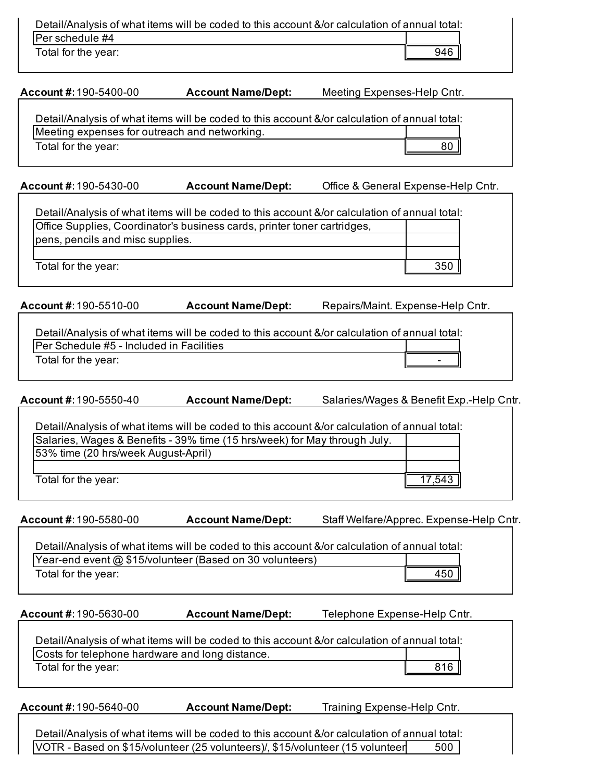| Detail/Analysis of what items will be coded to this account &/or calculation of annual total: |     |
|-----------------------------------------------------------------------------------------------|-----|
| IPer schedule #4                                                                              |     |
| Total for the year:                                                                           | 946 |
|                                                                                               |     |

**Account #:**190-5400-00 **Account Name/Dept:** Meeting Expenses-Help Cntr.

| Detail/Analysis of what items will be coded to this account &/or calculation of annual total: |    |
|-----------------------------------------------------------------------------------------------|----|
| Meeting expenses for outreach and networking.                                                 |    |
| Total for the year:                                                                           | 80 |

**Account #:**190-5430-00 **Account Name/Dept:** Office & General Expense-Help Cntr.

| Detail/Analysis of what items will be coded to this account &/or calculation of annual total: |     |
|-----------------------------------------------------------------------------------------------|-----|
| Office Supplies, Coordinator's business cards, printer toner cartridges,                      |     |
| pens, pencils and misc supplies.                                                              |     |
|                                                                                               |     |
| Total for the year:                                                                           | 350 |
|                                                                                               |     |

**Account #:**190-5510-00 **Account Name/Dept:** Repairs/Maint. Expense-Help Cntr.

| Detail/Analysis of what items will be coded to this account &/or calculation of annual total: |  |
|-----------------------------------------------------------------------------------------------|--|
| <b>Per Schedule #5 - Included in Facilities</b>                                               |  |
| Total for the year:                                                                           |  |

**Account #:**190-5550-40 **Account Name/Dept:** Salaries/Wages & Benefit Exp.-Help Cntr.

| Detail/Analysis of what items will be coded to this account &/or calculation of annual total: |       |
|-----------------------------------------------------------------------------------------------|-------|
| Salaries, Wages & Benefits - 39% time (15 hrs/week) for May through July.                     |       |
| 53% time (20 hrs/week August-April)                                                           |       |
|                                                                                               |       |
| Total for the year:                                                                           | 1/543 |

**Account #:**190-5580-00 **Account Name/Dept:** Staff Welfare/Apprec. Expense-Help Cntr.

Detail/Analysis of what items will be coded to this account &/or calculation of annual total: Year-end event @ \$15/volunteer (Based on 30 volunteers) Total for the year: 450

**Account #:**190-5630-00 **Account Name/Dept:** Telephone Expense-Help Cntr.

| Detail/Analysis of what items will be coded to this account &/or calculation of annual total: |     |
|-----------------------------------------------------------------------------------------------|-----|
| Costs for telephone hardware and long distance.                                               |     |
| Total for the year:                                                                           | 816 |

|  | Account #: 190-5640-00 | <b>Account Name/Dept:</b> | Training Expense-Help Cntr. |
|--|------------------------|---------------------------|-----------------------------|
|--|------------------------|---------------------------|-----------------------------|

Detail/Analysis of what items will be coded to this account &/or calculation of annual total: VOTR - Based on \$15/volunteer (25 volunteers)/, \$15/volunteer (15 volunteer 500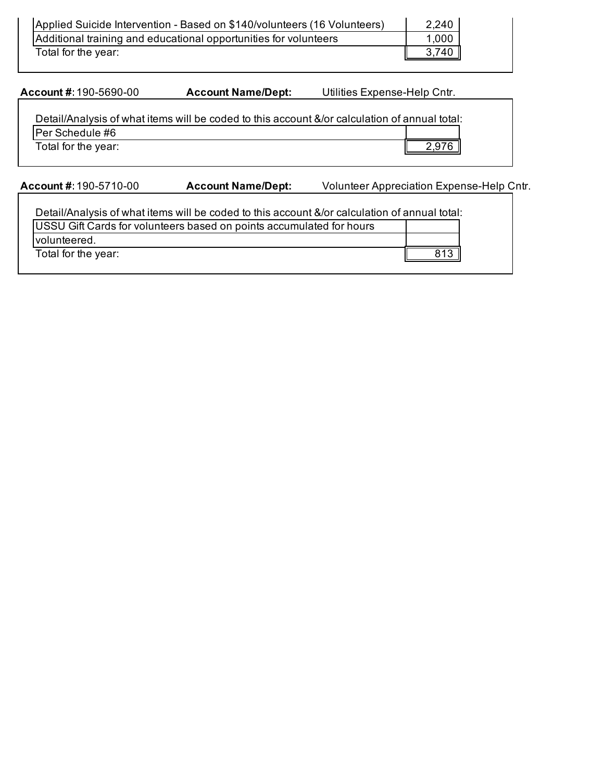| Applied Suicide Intervention - Based on \$140/volunteers (16 Volunteers) | 2,240 |
|--------------------------------------------------------------------------|-------|
| Additional training and educational opportunities for volunteers         | 1,000 |
| Total for the year:                                                      | 3,740 |

**Account #:**190-5690-00 **Account Name/Dept:** Utilities Expense-Help Cntr.

| Detail/Analysis of what items will be coded to this account &/or calculation of annual total: |       |
|-----------------------------------------------------------------------------------------------|-------|
| <b>Per Schedule #6</b>                                                                        |       |
| Total for the year:                                                                           | 2,976 |

**Account #:**190-5710-00 **Account Name/Dept:** Volunteer Appreciation Expense-Help Cntr.

| Detail/Analysis of what items will be coded to this account &/or calculation of annual total: |  |
|-----------------------------------------------------------------------------------------------|--|
| USSU Gift Cards for volunteers based on points accumulated for hours                          |  |
| volunteered.                                                                                  |  |
| Total for the year:                                                                           |  |
|                                                                                               |  |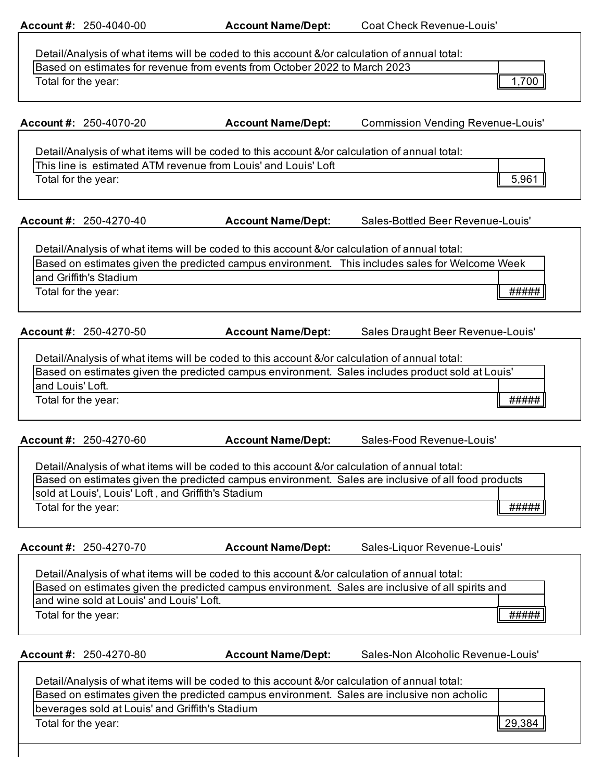**Account #:** 250-4040-00 **Account Name/Dept:** Coat Check Revenue-Louis'

| Detail/Analysis of what items will be coded to this account &/or calculation of annual total: |     |
|-----------------------------------------------------------------------------------------------|-----|
| Based on estimates for revenue from events from October 2022 to March 2023                    |     |
| Total for the year:                                                                           | 700 |

|                     | Account #: 250-4070-20                   | <b>Account Name/Dept:</b>                                                                         | <b>Commission Vending Revenue-Louis'</b>                                                            |
|---------------------|------------------------------------------|---------------------------------------------------------------------------------------------------|-----------------------------------------------------------------------------------------------------|
|                     |                                          |                                                                                                   |                                                                                                     |
|                     |                                          | Detail/Analysis of what items will be coded to this account &/or calculation of annual total:     |                                                                                                     |
|                     |                                          | This line is estimated ATM revenue from Louis' and Louis' Loft                                    |                                                                                                     |
| Total for the year: |                                          |                                                                                                   | 5,961                                                                                               |
|                     |                                          |                                                                                                   |                                                                                                     |
|                     | Account #: 250-4270-40                   | <b>Account Name/Dept:</b>                                                                         | Sales-Bottled Beer Revenue-Louis'                                                                   |
|                     |                                          | Detail/Analysis of what items will be coded to this account &/or calculation of annual total:     |                                                                                                     |
|                     |                                          |                                                                                                   | Based on estimates given the predicted campus environment. This includes sales for Welcome Week     |
|                     | and Griffith's Stadium                   |                                                                                                   |                                                                                                     |
| Total for the year: |                                          |                                                                                                   | #####                                                                                               |
|                     | Account #: 250-4270-50                   | <b>Account Name/Dept:</b>                                                                         | Sales Draught Beer Revenue-Louis'                                                                   |
|                     |                                          |                                                                                                   |                                                                                                     |
|                     |                                          | Detail/Analysis of what items will be coded to this account &/or calculation of annual total:     |                                                                                                     |
|                     |                                          | Based on estimates given the predicted campus environment. Sales includes product sold at Louis'  |                                                                                                     |
| and Louis' Loft.    |                                          |                                                                                                   |                                                                                                     |
| Total for the year: |                                          |                                                                                                   | #####                                                                                               |
|                     | Account #: 250-4270-60                   | <b>Account Name/Dept:</b>                                                                         | Sales-Food Revenue-Louis'                                                                           |
|                     |                                          |                                                                                                   |                                                                                                     |
|                     |                                          | Detail/Analysis of what items will be coded to this account &/or calculation of annual total:     |                                                                                                     |
|                     |                                          |                                                                                                   | Based on estimates given the predicted campus environment. Sales are inclusive of all food products |
|                     |                                          | sold at Louis', Louis' Loft, and Griffith's Stadium                                               |                                                                                                     |
| Total for the year: |                                          |                                                                                                   | #####                                                                                               |
|                     | Account #: 250-4270-70                   | <b>Account Name/Dept:</b>                                                                         | Sales-Liquor Revenue-Louis'                                                                         |
|                     |                                          |                                                                                                   |                                                                                                     |
|                     |                                          | Detail/Analysis of what items will be coded to this account &/or calculation of annual total:     |                                                                                                     |
|                     |                                          | Based on estimates given the predicted campus environment. Sales are inclusive of all spirits and |                                                                                                     |
|                     | and wine sold at Louis' and Louis' Loft. |                                                                                                   |                                                                                                     |
| Total for the year: |                                          |                                                                                                   | #####                                                                                               |

**Account #:** 250-4270-80 **Account Name/Dept:** Sales-Non Alcoholic Revenue-Louis'

| Detail/Analysis of what items will be coded to this account &/or calculation of annual total: |        |  |
|-----------------------------------------------------------------------------------------------|--------|--|
| Based on estimates given the predicted campus environment. Sales are inclusive non acholic    |        |  |
| beverages sold at Louis' and Griffith's Stadium                                               |        |  |
| Total for the year:                                                                           | 29,384 |  |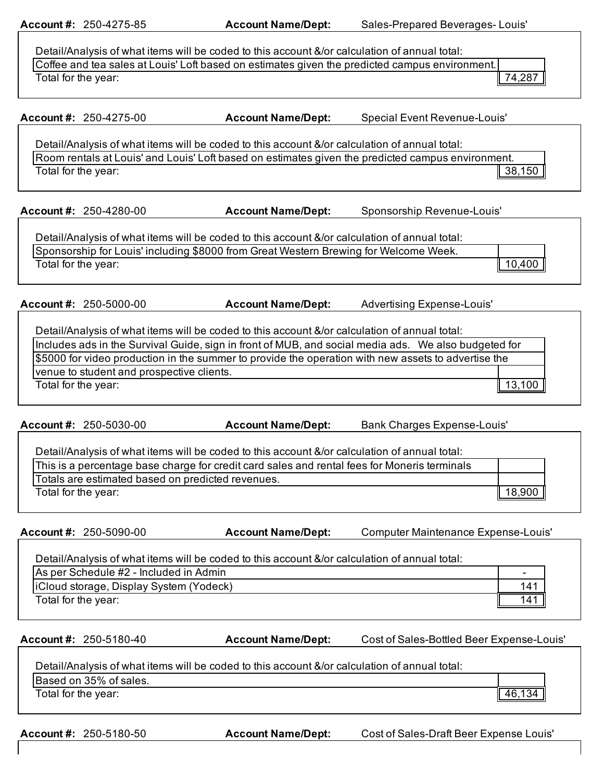**Account #:** 250-4275-85 **Account Name/Dept:** Sales-Prepared Beverages- Louis'

| Detail/Analysis of what items will be coded to this account &/or calculation of annual total:  |                |
|------------------------------------------------------------------------------------------------|----------------|
| Coffee and tea sales at Louis' Loft based on estimates given the predicted campus environment. |                |
| Total for the year:                                                                            | $\vert$ 74,287 |
|                                                                                                |                |

**Account #:** 250-4275-00 **Account Name/Dept:** Special Event Revenue-Louis'

Detail/Analysis of what items will be coded to this account &/or calculation of annual total: Room rentals at Louis' and Louis' Loft based on estimates given the predicted campus environment. Total for the year:  $\parallel$  38,150

**Account #:** 250-4280-00 **Account Name/Dept:** Sponsorship Revenue-Louis'

Detail/Analysis of what items will be coded to this account &/or calculation of annual total: Sponsorship for Louis' including \$8000 from Great Western Brewing for Welcome Week. Total for the year:  $\parallel$  10,400

**Account #:** 250-5000-00 **Account Name/Dept:** Advertising Expense-Louis'

Detail/Analysis of what items will be coded to this account &/or calculation of annual total:

Includes ads in the Survival Guide, sign in front of MUB, and social media ads. We also budgeted for \$5000 for video production in the summer to provide the operation with new assets to advertise the venue to student and prospective clients. Total for the year:  $\parallel$  13,100

**Account #:** 250-5030-00 **Account Name/Dept:** Bank Charges Expense-Louis'

| Detail/Analysis of what items will be coded to this account &/or calculation of annual total: |        |
|-----------------------------------------------------------------------------------------------|--------|
| This is a percentage base charge for credit card sales and rental fees for Moneris terminals  |        |
| Totals are estimated based on predicted revenues.                                             |        |
| Total for the year:                                                                           | 18,900 |

**Account #:** 250-5090-00 **Account Name/Dept:** Computer Maintenance Expense-Louis'

Detail/Analysis of what items will be coded to this account &/or calculation of annual total: As per Schedule #2 - Included in Admin iCloud storage, Display System (Yodeck) 141 Total for the year:  $\sqrt{141}$ 

**Account #:** 250-5180-40 **Account Name/Dept:** Cost of Sales-Bottled Beer Expense-Louis'

| Detail/Analysis of what items will be coded to this account &/or calculation of annual total: |  |
|-----------------------------------------------------------------------------------------------|--|
| Based on 35% of sales.                                                                        |  |

Total for the year:  $\sqrt{46,134}$ 

**Account #:** 250-5180-50 **Account Name/Dept:** Cost of Sales-Draft Beer Expense Louis'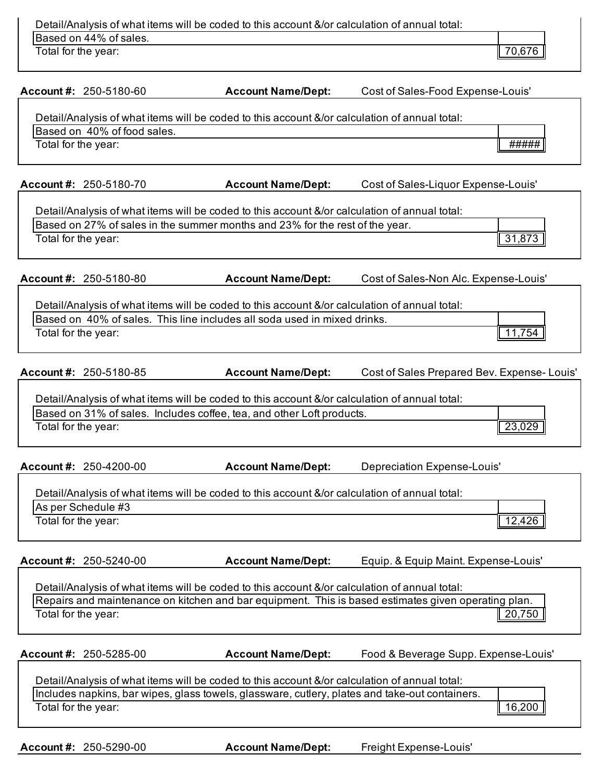|                     |                             | Detail/Analysis of what items will be coded to this account &/or calculation of annual total: |                                             |  |
|---------------------|-----------------------------|-----------------------------------------------------------------------------------------------|---------------------------------------------|--|
|                     | Based on 44% of sales.      |                                                                                               |                                             |  |
| Total for the year: |                             |                                                                                               | 70,676                                      |  |
|                     |                             |                                                                                               |                                             |  |
|                     | Account #: 250-5180-60      | <b>Account Name/Dept:</b>                                                                     | Cost of Sales-Food Expense-Louis'           |  |
|                     |                             | Detail/Analysis of what items will be coded to this account &/or calculation of annual total: |                                             |  |
|                     | Based on 40% of food sales. |                                                                                               |                                             |  |
| Total for the year: |                             |                                                                                               | #####                                       |  |
|                     |                             |                                                                                               |                                             |  |
|                     | Account #: 250-5180-70      | <b>Account Name/Dept:</b>                                                                     | Cost of Sales-Liquor Expense-Louis'         |  |
|                     |                             |                                                                                               |                                             |  |
|                     |                             | Detail/Analysis of what items will be coded to this account &/or calculation of annual total: |                                             |  |
|                     |                             | Based on 27% of sales in the summer months and 23% for the rest of the year.                  |                                             |  |
| Total for the year: |                             |                                                                                               | 31,873                                      |  |
|                     | Account #: 250-5180-80      | <b>Account Name/Dept:</b>                                                                     | Cost of Sales-Non Alc. Expense-Louis'       |  |
|                     |                             |                                                                                               |                                             |  |
|                     |                             | Detail/Analysis of what items will be coded to this account &/or calculation of annual total: |                                             |  |
|                     |                             | Based on 40% of sales. This line includes all soda used in mixed drinks.                      |                                             |  |
| Total for the year: |                             |                                                                                               | 11,754                                      |  |
|                     |                             |                                                                                               |                                             |  |
|                     | Account #: 250-5180-85      | <b>Account Name/Dept:</b>                                                                     | Cost of Sales Prepared Bev. Expense- Louis' |  |
|                     |                             | Detail/Analysis of what items will be coded to this account &/or calculation of annual total: |                                             |  |
|                     |                             | Based on 31% of sales. Includes coffee, tea, and other Loft products.                         |                                             |  |
| Total for the year: |                             |                                                                                               | 23,029                                      |  |
|                     |                             |                                                                                               |                                             |  |
|                     |                             |                                                                                               |                                             |  |

| Detail/Analysis of what items will be coded to this account &/or calculation of annual total: |             |
|-----------------------------------------------------------------------------------------------|-------------|
| As per Schedule #3                                                                            |             |
| Total for the year:                                                                           | $\Delta$ 26 |

| Account #: $250 - 5240 - 00$<br>Equip. & Equip Maint. Expense-Louis'<br><b>Account Name/Dept:</b> |
|---------------------------------------------------------------------------------------------------|
|---------------------------------------------------------------------------------------------------|

Detail/Analysis of what items will be coded to this account &/or calculation of annual total: Repairs and maintenance on kitchen and bar equipment. This is based estimates given operating plan. Total for the year: 20,750

**Account #:** 250-5285-00 **Account Name/Dept:** Food & Beverage Supp. Expense-Louis'

Detail/Analysis of what items will be coded to this account &/or calculation of annual total: Includes napkins, bar wipes, glass towels, glassware, cutlery, plates and take-out containers. Total for the year: 16,200

**Account #:** 250-5290-00 **Account Name/Dept:** Freight Expense-Louis'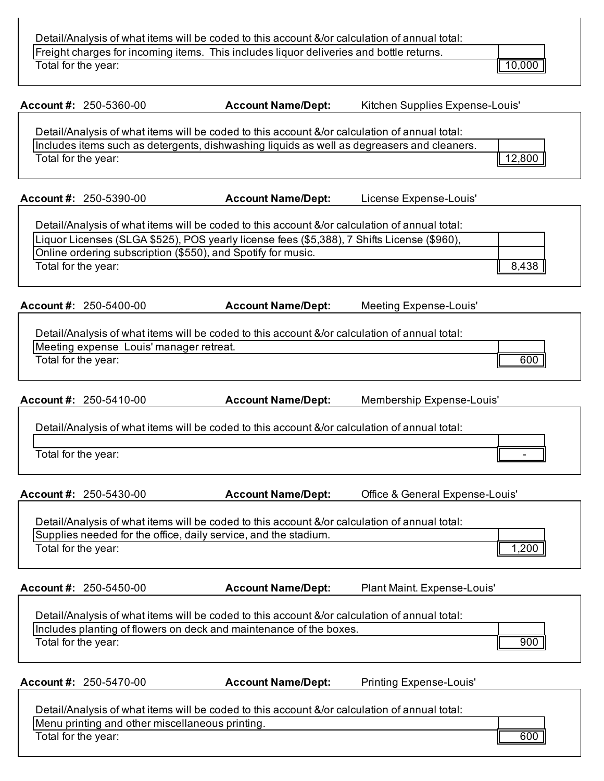Detail/Analysis of what items will be coded to this account &/or calculation of annual total:

Freight charges for incoming items. This includes liquor deliveries and bottle returns.

Total for the year: 10,000 and 10,000 and 10,000 and 10,000 and 10,000 and 10,000 and 10,000 and 10,000 and 10,000 and 10,000 and 10,000 and 10,000 and 10,000 and 10,000 and 10,000 and 10,000 and 10,000 and 10,000 and 10,0

|  | Account #: 250-5360-00 |
|--|------------------------|
|--|------------------------|

**Account Name/Dept:** Kitchen Supplies Expense-Louis'

Detail/Analysis of what items will be coded to this account &/or calculation of annual total: Includes items such as detergents, dishwashing liquids as well as degreasers and cleaners. Total for the year: 12,800

**Account #:** 250-5390-00 **Account Name/Dept:** License Expense-Louis'

| Detail/Analysis of what items will be coded to this account &/or calculation of annual total: |       |
|-----------------------------------------------------------------------------------------------|-------|
| Liquor Licenses (SLGA \$525), POS yearly license fees (\$5,388), 7 Shifts License (\$960),    |       |
| Online ordering subscription (\$550), and Spotify for music.                                  |       |
| Total for the year:                                                                           | 8,438 |

**Account #:** 250-5400-00 **Account Name/Dept:** Meeting Expense-Louis'

| Detail/Analysis of what items will be coded to this account &/or calculation of annual total: |     |  |
|-----------------------------------------------------------------------------------------------|-----|--|
| Meeting expense Louis' manager retreat.                                                       |     |  |
| Total for the year:                                                                           | 600 |  |

**Account #:** 250-5410-00 **Account Name/Dept:** Membership Expense-Louis'

Detail/Analysis of what items will be coded to this account &/or calculation of annual total:

Total for the year:

**Account #:** 250-5430-00 **Account Name/Dept:** Office & General Expense-Louis'

| Detail/Analysis of what items will be coded to this account &/or calculation of annual total: |      |
|-----------------------------------------------------------------------------------------------|------|
| Supplies needed for the office, daily service, and the stadium.                               |      |
| Total for the year:                                                                           | ,200 |

**Account #:** 250-5450-00 **Account Name/Dept:** Plant Maint. Expense-Louis'

| Detail/Analysis of what items will be coded to this account &/or calculation of annual total: |     |
|-----------------------------------------------------------------------------------------------|-----|
| Includes planting of flowers on deck and maintenance of the boxes.                            |     |
| Total for the year:                                                                           | 900 |
|                                                                                               |     |

**Account #:** 250-5470-00 **Account Name/Dept:** Printing Expense-Louis'

|  | <b>Account Name/Dept:</b> |
|--|---------------------------|
|--|---------------------------|

| Detail/Analysis of what items will be coded to this account &/or calculation of annual total: |     |
|-----------------------------------------------------------------------------------------------|-----|
| Menu printing and other miscellaneous printing.                                               |     |
| Total for the year:                                                                           | 600 |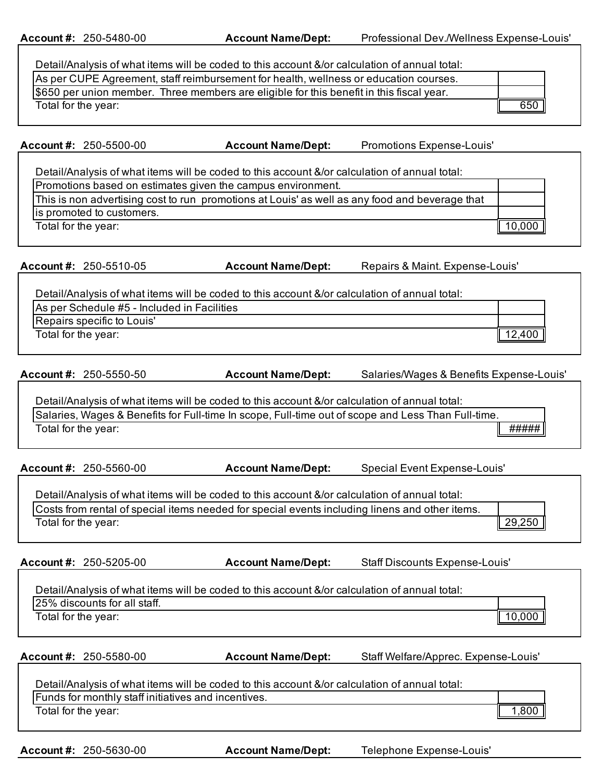**Account #:** 250-5480-00 **Account Name/Dept:** Professional Dev./Wellness Expense-Louis'

| Detail/Analysis of what items will be coded to this account &/or calculation of annual total: |     |
|-----------------------------------------------------------------------------------------------|-----|
| As per CUPE Agreement, staff reimbursement for health, wellness or education courses.         |     |
| \$650 per union member. Three members are eligible for this benefit in this fiscal year.      |     |
| Total for the year:                                                                           | 650 |

**Account #:** 250-5500-00 **Account Name/Dept:** Promotions Expense-Louis'

Detail/Analysis of what items will be coded to this account &/or calculation of annual total:

| Promotions based on estimates given the campus environment.                                    |        |
|------------------------------------------------------------------------------------------------|--------|
| This is non advertising cost to run promotions at Louis' as well as any food and beverage that |        |
| is promoted to customers.                                                                      |        |
| Total for the year:                                                                            | 10,000 |

**Account #:** 250-5510-05 **Account Name/Dept:** Repairs & Maint. Expense-Louis'

| Detail/Analysis of what items will be coded to this account &/or calculation of annual total: |        |
|-----------------------------------------------------------------------------------------------|--------|
| As per Schedule #5 - Included in Facilities                                                   |        |
| Repairs specific to Louis'                                                                    |        |
| Total for the year:                                                                           | .2,400 |

| Account #: 250-5550-50 | <b>Account Name/Dept:</b> | Salaries/Wages & Benefits Expense-Louis' |
|------------------------|---------------------------|------------------------------------------|
|                        |                           |                                          |

Detail/Analysis of what items will be coded to this account &/or calculation of annual total: Salaries, Wages & Benefits for Full-time In scope, Full-time out of scope and Less Than Full-time. Total for the year:  $\parallel$  #####  $\parallel$ 

**Account #:** 250-5560-00 **Account Name/Dept:** Special Event Expense-Louis'

| Detail/Analysis of what items will be coded to this account &/or calculation of annual total:  |                                |
|------------------------------------------------------------------------------------------------|--------------------------------|
| Costs from rental of special items needed for special events including linens and other items. |                                |
| Total for the year:                                                                            | $\parallel$ 29,250 $\parallel$ |

**Account #:** 250-5205-00 **Account Name/Dept:** Staff Discounts Expense-Louis'

Detail/Analysis of what items will be coded to this account &/or calculation of annual total: 25% discounts for all staff. Total for the year:  $\parallel$  10,000

**Account #:** 250-5580-00 **Account Name/Dept:** Staff Welfare/Apprec. Expense-Louis'

| Detail/Analysis of what items will be coded to this account &/or calculation of annual total: |                   |
|-----------------------------------------------------------------------------------------------|-------------------|
| Funds for monthly staff initiatives and incentives.                                           |                   |
| Total for the year:                                                                           | 0.80 <sub>c</sub> |

**Account #:** 250-5630-00 **Account Name/Dept:** Telephone Expense-Louis'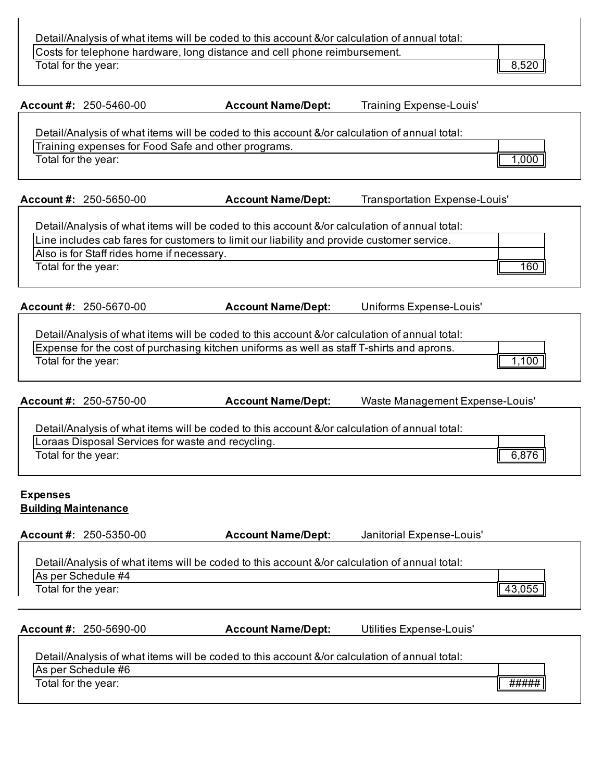Detail/Analysis of what items will be coded to this account &/or calculation of annual total:

Costs for telephone hardware, long distance and cell phone reimbursement. Total for the year: 8,520

|                                                | Account #: $250 - 5460 - 00$               | <b>Account Name/Dept:</b><br><b>Training Expense-Louis'</b>                                                                                          |        |
|------------------------------------------------|--------------------------------------------|------------------------------------------------------------------------------------------------------------------------------------------------------|--------|
|                                                |                                            | Detail/Analysis of what items will be coded to this account &/or calculation of annual total:<br>Training expenses for Food Safe and other programs. |        |
| Total for the year:                            |                                            |                                                                                                                                                      | 1,000  |
|                                                | Account #: $250 - 5650 - 00$               | <b>Account Name/Dept:</b><br>Transportation Expense-Louis'                                                                                           |        |
|                                                |                                            | Detail/Analysis of what items will be coded to this account &/or calculation of annual total:                                                        |        |
|                                                | Also is for Staff rides home if necessary. | Line includes cab fares for customers to limit our liability and provide customer service.                                                           |        |
| Total for the year:                            |                                            |                                                                                                                                                      | 160    |
|                                                | <b>Account #: 250-5670-00</b>              | Uniforms Expense-Louis'<br><b>Account Name/Dept:</b>                                                                                                 |        |
|                                                |                                            | Detail/Analysis of what items will be coded to this account &/or calculation of annual total:                                                        |        |
|                                                |                                            | Expense for the cost of purchasing kitchen uniforms as well as staff T-shirts and aprons.                                                            |        |
| Total for the year:                            |                                            |                                                                                                                                                      | 1,100  |
|                                                | <b>Account #: 250-5750-00</b>              | <b>Account Name/Dept:</b><br>Waste Management Expense-Louis'                                                                                         |        |
|                                                |                                            | Detail/Analysis of what items will be coded to this account &/or calculation of annual total:                                                        |        |
|                                                |                                            | Loraas Disposal Services for waste and recycling.                                                                                                    |        |
| Total for the year:                            |                                            |                                                                                                                                                      | 6,876  |
| <b>Expenses</b><br><b>Building Maintenance</b> |                                            |                                                                                                                                                      |        |
|                                                | Account #: 250-5350-00                     | <b>Account Name/Dept:</b><br>Janitorial Expense-Louis'                                                                                               |        |
|                                                |                                            | Detail/Analysis of what items will be coded to this account &/or calculation of annual total:                                                        |        |
|                                                | As per Schedule #4                         |                                                                                                                                                      |        |
| Total for the year:                            |                                            |                                                                                                                                                      | 43,055 |
|                                                | <b>Account #: 250-5690-00</b>              | <b>Account Name/Dept:</b><br>Utilities Expense-Louis'                                                                                                |        |
|                                                |                                            | Detail/Analysis of what items will be coded to this account &/or calculation of annual total:                                                        |        |
|                                                | As per Schedule #6                         |                                                                                                                                                      |        |
| Total for the year:                            |                                            |                                                                                                                                                      | #####  |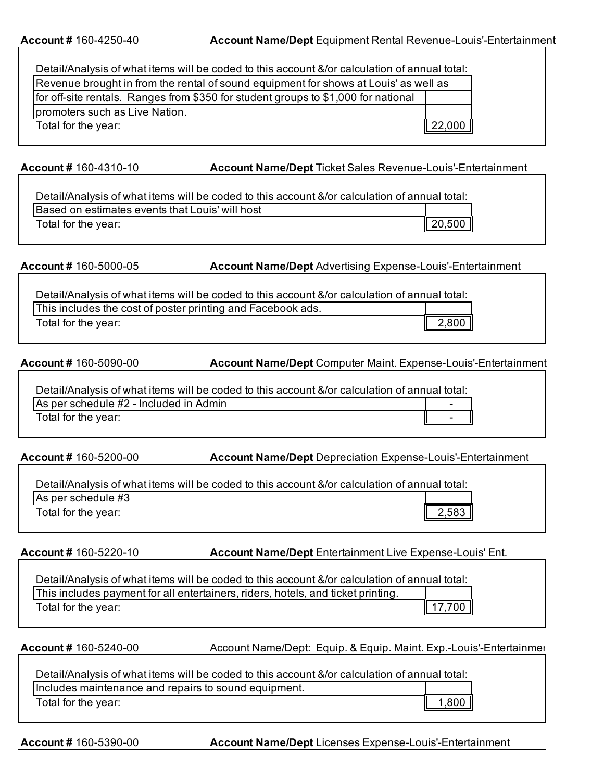| Detail/Analysis of what items will be coded to this account &/or calculation of annual total: |
|-----------------------------------------------------------------------------------------------|
| Revenue brought in from the rental of sound equipment for shows at Louis' as well as          |
|                                                                                               |
|                                                                                               |
| 22,000                                                                                        |
|                                                                                               |

**Account #** 160-4310-10 **Account Name/Dept** Ticket Sales Revenue-Louis'-Entertainment

Detail/Analysis of what items will be coded to this account &/or calculation of annual total: Based on estimates events that Louis' will host Total for the year: 20,500

**Account # 160-5000-05 <b>Account Name/Dept** Advertising Expense-Louis'-Entertainment

Detail/Analysis of what items will be coded to this account &/or calculation of annual total: This includes the cost of poster printing and Facebook ads. Total for the year: 2,800

**Account # 160-5090-00 <b>Account Name/Dept** Computer Maint. Expense-Louis'-Entertainment

Detail/Analysis of what items will be coded to this account &/or calculation of annual total: As per schedule  $#2$  - Included in Admin Total for the year:

**Account # 160-5200-00 <b>Account Name/Dept** Depreciation Expense-Louis'-Entertainment

| Detail/Analysis of what items will be coded to this account &/or calculation of annual total: |       |  |
|-----------------------------------------------------------------------------------------------|-------|--|
| As per schedule #3                                                                            |       |  |
| Total for the year:                                                                           | 2,583 |  |

**Account # 160-5220-10 <b>Account Name/Dept** Entertainment Live Expense-Louis' Ent.

| Detail/Analysis of what items will be coded to this account &/or calculation of annual total: |        |
|-----------------------------------------------------------------------------------------------|--------|
| This includes payment for all entertainers, riders, hotels, and ticket printing.              |        |
| Total for the year:                                                                           | 17,700 |

**Account # 160-5240-00** 

Account Name/Dept: Equip. & Equip. Maint. Exp.-Louis'-Entertainment

| Detail/Analysis of what items will be coded to this account &/or calculation of annual total: |       |  |
|-----------------------------------------------------------------------------------------------|-------|--|
| Includes maintenance and repairs to sound equipment.                                          |       |  |
| Total for the year:                                                                           | 1,800 |  |

**Account #160-5390-00 <b>Account Name/Dept** Licenses Expense-Louis'-Entertainment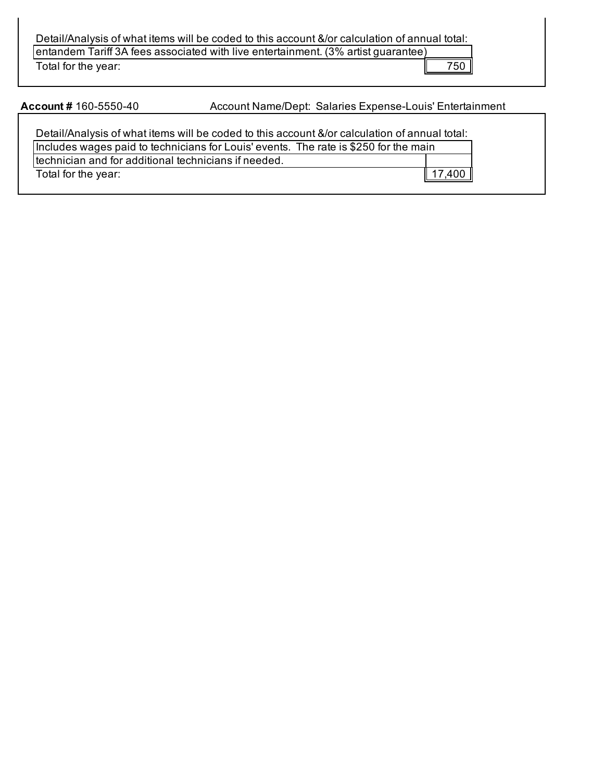Detail/Analysis of what items will be coded to this account &/or calculation of annual total: entandem Tariff 3A fees associated with live entertainment. (3% artist guarantee) Total for the year: 750

**Account #160-5550-40** 

Account Name/Dept: Salaries Expense-Louis' Entertainment

Detail/Analysis of what items will be coded to this account &/or calculation of annual total: Includes wages paid to technicians for Louis' events. The rate is \$250 for the main technician and for additional technicians if needed. Total for the year: 17,400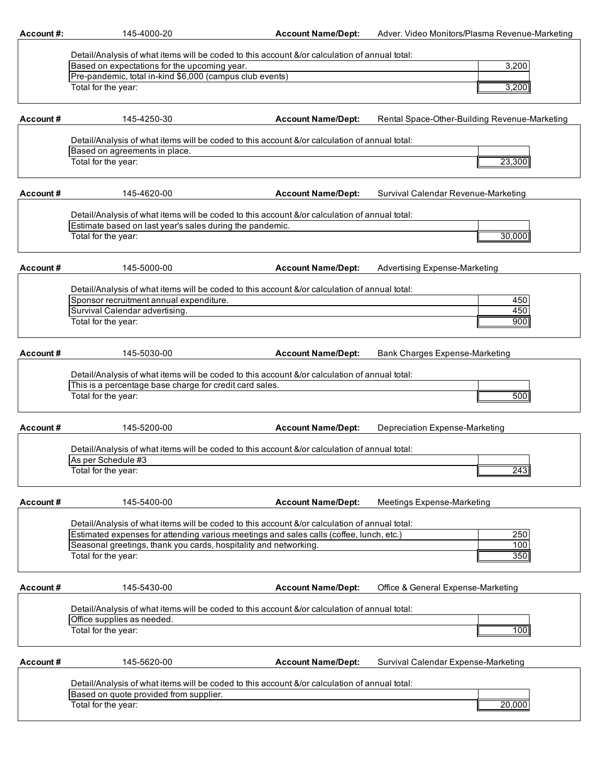| Account#: | 145-4000-20                                                                                                                                                                              | <b>Account Name/Dept:</b> | Adver. Video Monitors/Plasma Revenue-Marketing |  |
|-----------|------------------------------------------------------------------------------------------------------------------------------------------------------------------------------------------|---------------------------|------------------------------------------------|--|
|           |                                                                                                                                                                                          |                           |                                                |  |
|           | Detail/Analysis of what items will be coded to this account &/or calculation of annual total:<br>Based on expectations for the upcoming year.                                            |                           | 3,200                                          |  |
|           | Pre-pandemic, total in-kind \$6,000 (campus club events)                                                                                                                                 |                           |                                                |  |
|           | Total for the year:                                                                                                                                                                      |                           | 3,200                                          |  |
|           |                                                                                                                                                                                          |                           |                                                |  |
| Account#  | 145-4250-30                                                                                                                                                                              | <b>Account Name/Dept:</b> | Rental Space-Other-Building Revenue-Marketing  |  |
|           | Detail/Analysis of what items will be coded to this account &/or calculation of annual total:                                                                                            |                           |                                                |  |
|           | Based on agreements in place.                                                                                                                                                            |                           |                                                |  |
|           | Total for the year:                                                                                                                                                                      |                           | 23,300                                         |  |
|           |                                                                                                                                                                                          |                           |                                                |  |
| Account#  | 145-4620-00                                                                                                                                                                              | <b>Account Name/Dept:</b> | Survival Calendar Revenue-Marketing            |  |
|           | Detail/Analysis of what items will be coded to this account &/or calculation of annual total:                                                                                            |                           |                                                |  |
|           | Estimate based on last year's sales during the pandemic.<br>Total for the year:                                                                                                          |                           | 30,000                                         |  |
|           |                                                                                                                                                                                          |                           |                                                |  |
| Account # | 145-5000-00                                                                                                                                                                              | <b>Account Name/Dept:</b> | <b>Advertising Expense-Marketing</b>           |  |
|           | Detail/Analysis of what items will be coded to this account &/or calculation of annual total:                                                                                            |                           |                                                |  |
|           | Sponsor recruitment annual expenditure.                                                                                                                                                  |                           | 450                                            |  |
|           | Survival Calendar advertising.                                                                                                                                                           |                           | 450                                            |  |
|           | Total for the year:                                                                                                                                                                      |                           | 900                                            |  |
| Account # | 145-5030-00                                                                                                                                                                              | <b>Account Name/Dept:</b> | Bank Charges Expense-Marketing                 |  |
|           |                                                                                                                                                                                          |                           |                                                |  |
|           | Detail/Analysis of what items will be coded to this account &/or calculation of annual total:<br>This is a percentage base charge for credit card sales.                                 |                           |                                                |  |
|           | Total for the year:                                                                                                                                                                      |                           | 500                                            |  |
|           |                                                                                                                                                                                          |                           |                                                |  |
| Account#  | 145-5200-00                                                                                                                                                                              | <b>Account Name/Dept:</b> | Depreciation Expense-Marketing                 |  |
|           | Detail/Analysis of what items will be coded to this account &/or calculation of annual total:                                                                                            |                           |                                                |  |
|           | As per Schedule #3                                                                                                                                                                       |                           |                                                |  |
|           | Total for the year:                                                                                                                                                                      |                           | 243                                            |  |
| Account#  | 145-5400-00                                                                                                                                                                              | <b>Account Name/Dept:</b> | Meetings Expense-Marketing                     |  |
|           |                                                                                                                                                                                          |                           |                                                |  |
|           | Detail/Analysis of what items will be coded to this account &/or calculation of annual total:<br>Estimated expenses for attending various meetings and sales calls (coffee, lunch, etc.) |                           | 250                                            |  |
|           | Seasonal greetings, thank you cards, hospitality and networking.                                                                                                                         |                           | 100                                            |  |
|           | Total for the year:                                                                                                                                                                      |                           | 350                                            |  |
|           |                                                                                                                                                                                          |                           |                                                |  |
| Account#  | 145-5430-00                                                                                                                                                                              | <b>Account Name/Dept:</b> | Office & General Expense-Marketing             |  |
|           | Detail/Analysis of what items will be coded to this account &/or calculation of annual total:                                                                                            |                           |                                                |  |
|           | Office supplies as needed.                                                                                                                                                               |                           |                                                |  |
|           | Total for the year:                                                                                                                                                                      |                           | 100                                            |  |
| Account#  | 145-5620-00                                                                                                                                                                              | <b>Account Name/Dept:</b> | Survival Calendar Expense-Marketing            |  |
|           |                                                                                                                                                                                          |                           |                                                |  |
|           | Detail/Analysis of what items will be coded to this account &/or calculation of annual total:<br>Based on quote provided from supplier.                                                  |                           |                                                |  |
|           | Total for the year:                                                                                                                                                                      |                           | 20,000                                         |  |
|           |                                                                                                                                                                                          |                           |                                                |  |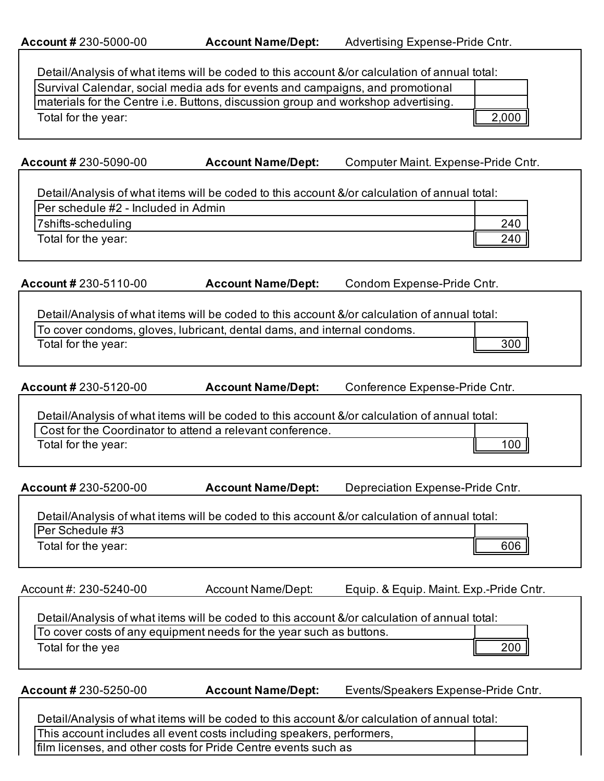| Detail/Analysis of what items will be coded to this account &/or calculation of annual total:<br>Survival Calendar, social media ads for events and campaigns, and promotional |                                                                         |                                                                                               |  |  |
|--------------------------------------------------------------------------------------------------------------------------------------------------------------------------------|-------------------------------------------------------------------------|-----------------------------------------------------------------------------------------------|--|--|
| materials for the Centre i.e. Buttons, discussion group and workshop advertising.                                                                                              |                                                                         |                                                                                               |  |  |
| Total for the year:                                                                                                                                                            |                                                                         | 2,000                                                                                         |  |  |
|                                                                                                                                                                                |                                                                         |                                                                                               |  |  |
|                                                                                                                                                                                |                                                                         |                                                                                               |  |  |
| <b>Account #230-5090-00</b>                                                                                                                                                    | <b>Account Name/Dept:</b>                                               | Computer Maint. Expense-Pride Cntr.                                                           |  |  |
|                                                                                                                                                                                |                                                                         | Detail/Analysis of what items will be coded to this account &/or calculation of annual total: |  |  |
| Per schedule #2 - Included in Admin                                                                                                                                            |                                                                         |                                                                                               |  |  |
| 7shifts-scheduling                                                                                                                                                             |                                                                         | 240                                                                                           |  |  |
| Total for the year:                                                                                                                                                            |                                                                         | 240                                                                                           |  |  |
|                                                                                                                                                                                |                                                                         |                                                                                               |  |  |
| Account # 230-5110-00                                                                                                                                                          | <b>Account Name/Dept:</b>                                               | Condom Expense-Pride Cntr.                                                                    |  |  |
|                                                                                                                                                                                |                                                                         |                                                                                               |  |  |
|                                                                                                                                                                                |                                                                         | Detail/Analysis of what items will be coded to this account &/or calculation of annual total: |  |  |
| Total for the year:                                                                                                                                                            | To cover condoms, gloves, lubricant, dental dams, and internal condoms. | 300                                                                                           |  |  |
|                                                                                                                                                                                |                                                                         |                                                                                               |  |  |
| Account # 230-5120-00                                                                                                                                                          | <b>Account Name/Dept:</b>                                               | Conference Expense-Pride Cntr.                                                                |  |  |
|                                                                                                                                                                                |                                                                         | Detail/Analysis of what items will be coded to this account &/or calculation of annual total: |  |  |
|                                                                                                                                                                                | Cost for the Coordinator to attend a relevant conference.               |                                                                                               |  |  |
| Total for the year:                                                                                                                                                            |                                                                         | 100                                                                                           |  |  |
|                                                                                                                                                                                |                                                                         |                                                                                               |  |  |
| Account # 230-5200-00                                                                                                                                                          | <b>Account Name/Dept:</b>                                               | Depreciation Expense-Pride Cntr.                                                              |  |  |
|                                                                                                                                                                                |                                                                         | Detail/Analysis of what items will be coded to this account &/or calculation of annual total: |  |  |
| Per Schedule #3                                                                                                                                                                |                                                                         |                                                                                               |  |  |
| Total for the year:                                                                                                                                                            |                                                                         | 606                                                                                           |  |  |
|                                                                                                                                                                                |                                                                         |                                                                                               |  |  |
| Account #: 230-5240-00                                                                                                                                                         | <b>Account Name/Dept:</b>                                               | Equip. & Equip. Maint. Exp.-Pride Cntr.                                                       |  |  |
|                                                                                                                                                                                |                                                                         | Detail/Analysis of what items will be coded to this account &/or calculation of annual total: |  |  |
|                                                                                                                                                                                | To cover costs of any equipment needs for the year such as buttons.     |                                                                                               |  |  |
| Total for the yea                                                                                                                                                              |                                                                         | 200                                                                                           |  |  |
|                                                                                                                                                                                |                                                                         |                                                                                               |  |  |
| Account # 230-5250-00                                                                                                                                                          | <b>Account Name/Dept:</b>                                               | Events/Speakers Expense-Pride Cntr.                                                           |  |  |
|                                                                                                                                                                                |                                                                         | Detail/Analysis of what items will be coded to this account &/or calculation of annual total: |  |  |
|                                                                                                                                                                                | This account includes all event costs including speakers, performers,   |                                                                                               |  |  |
|                                                                                                                                                                                | film licenses, and other costs for Pride Centre events such as          |                                                                                               |  |  |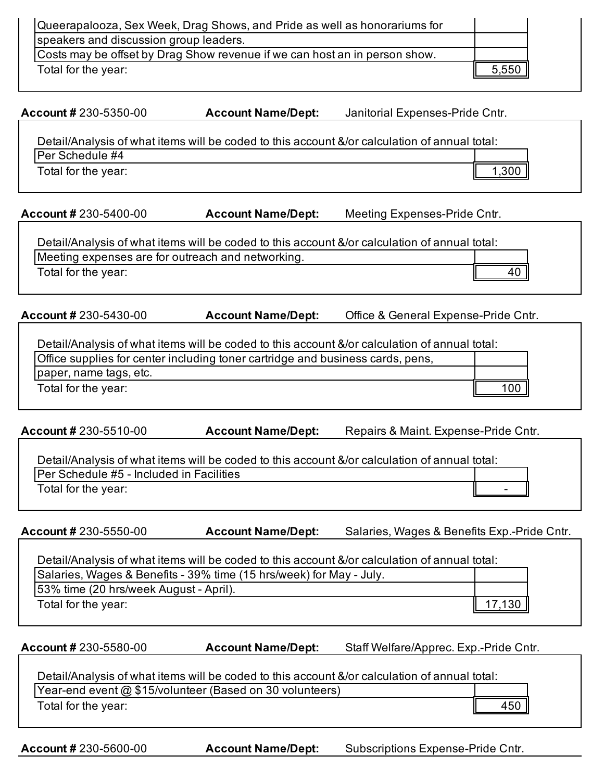| Queerapalooza, Sex Week, Drag Shows, and Pride as well as honorariums for  |         |  |
|----------------------------------------------------------------------------|---------|--|
| speakers and discussion group leaders.                                     |         |  |
| Costs may be offset by Drag Show revenue if we can host an in person show. |         |  |
| Total for the year:                                                        | $5,550$ |  |

**Account #** 230-5350-00 **Account Name/Dept:** Janitorial Expenses-Pride Cntr.

| Detail/Analysis of what items will be coded to this account &/or calculation of annual total: |  |
|-----------------------------------------------------------------------------------------------|--|
| <b>IPer Schedule #4</b>                                                                       |  |
| Total for the year:                                                                           |  |

**Account # 230-5400-00 <b>Account Name/Dept:** Meeting Expenses-Pride Cntr.

Detail/Analysis of what items will be coded to this account &/or calculation of annual total: Meeting expenses are for outreach and networking. Total for the year: 40

**Account #** 230-5430-00 **Account Name/Dept:** Office & General Expense-Pride Cntr.

| Detail/Analysis of what items will be coded to this account &/or calculation of annual total: |                   |
|-----------------------------------------------------------------------------------------------|-------------------|
| Office supplies for center including toner cartridge and business cards, pens,                |                   |
| paper, name tags, etc.                                                                        |                   |
| Total for the year:                                                                           | $100$ $\parallel$ |

**Account # 230-5510-00 <b>Account Name/Dept:** Repairs & Maint. Expense-Pride Cntr.

Detail/Analysis of what items will be coded to this account &/or calculation of annual total: Per Schedule #5 - Included in Facilities Total for the year:

**Account #** 230-5550-00 **Account Name/Dept:** Salaries, Wages & Benefits Exp.-Pride Cntr.

Detail/Analysis of what items will be coded to this account &/or calculation of annual total: Salaries, Wages & Benefits - 39% time (15 hrs/week) for May - July.

53% time (20 hrs/week August - April).

Total for the year:  $\parallel$  17,130

**Account #** 230-5580-00 **Account Name/Dept:** Staff Welfare/Apprec. Exp.-Pride Cntr.

Detail/Analysis of what items will be coded to this account &/or calculation of annual total:

Year-end event @ \$15/volunteer (Based on 30 volunteers)

Total for the year: 450

**Account # 230-5600-00 <b>Account Name/Dept:** Subscriptions Expense-Pride Cntr.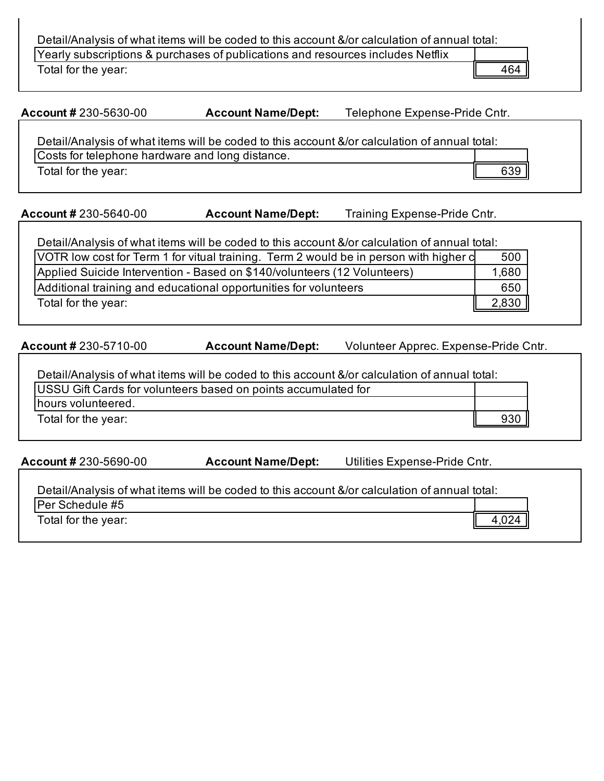Detail/Analysis of what items will be coded to this account &/or calculation of annual total: Yearly subscriptions & purchases of publications and resources includes Netflix

Total for the year: 464

**Account # 230-5630-00 <b>Account Name/Dept:** Telephone Expense-Pride Cntr.

Detail/Analysis of what items will be coded to this account &/or calculation of annual total: Costs for telephone hardware and long distance. Total for the year: 639

**Account #** 230-5640-00 **Account Name/Dept:** Training Expense-Pride Cntr.

| Detail/Analysis of what items will be coded to this account &/or calculation of annual total: |       |
|-----------------------------------------------------------------------------------------------|-------|
| VOTR low cost for Term 1 for vitual training. Term 2 would be in person with higher c         | 500   |
| Applied Suicide Intervention - Based on \$140/volunteers (12 Volunteers)                      | 1,680 |
| Additional training and educational opportunities for volunteers                              | 650   |
| Total for the year:                                                                           | 2,830 |

Account # 230-5710-00 **Account Name/Dept:** Volunteer Apprec. Expense-Pride Cntr.

| <b>USSU Gift Cards for volunteers based on points accumulated for</b> |     |
|-----------------------------------------------------------------------|-----|
|                                                                       |     |
| hours volunteered.                                                    |     |
| Total for the year:                                                   | 930 |

**Account # 230-5690-00 <b>Account Name/Dept:** Utilities Expense-Pride Cntr.

| Detail/Analysis of what items will be coded to this account &/or calculation of annual total: |  |
|-----------------------------------------------------------------------------------------------|--|
| <b>IPer Schedule #5</b>                                                                       |  |
| Total for the year:                                                                           |  |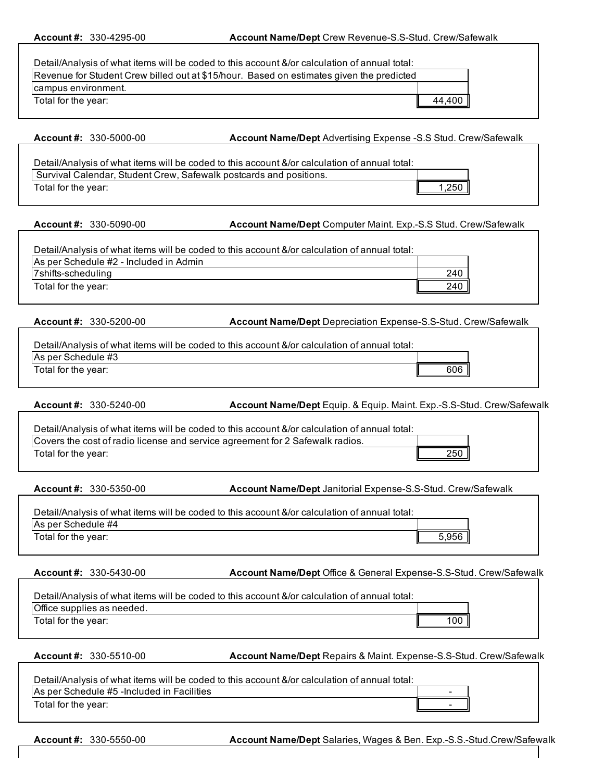| Revenue for Student Crew billed out at \$15/hour. Based on estimates given the predicted<br>campus environment.<br>Total for the year: | Detail/Analysis of what items will be coded to this account &/or calculation of annual total: |        |
|----------------------------------------------------------------------------------------------------------------------------------------|-----------------------------------------------------------------------------------------------|--------|
|                                                                                                                                        |                                                                                               |        |
|                                                                                                                                        |                                                                                               |        |
|                                                                                                                                        |                                                                                               | 44,400 |

**Account #:** 330-5000-00 **Account Name/Dept:**Advertising Expense -S.S Stud. Crew/Safewalk

| Detail/Analysis of what items will be coded to this account &/or calculation of annual total: |                      |
|-----------------------------------------------------------------------------------------------|----------------------|
| Survival Calendar, Student Crew, Safewalk postcards and positions.                            |                      |
| Total for the year:                                                                           | 1,250 $\blacksquare$ |

**Account #:** 330-5090-00 **Account Name/Dept:**Computer Maint. Exp.-S.S Stud. Crew/Safewalk

| Detail/Analysis of what items will be coded to this account &/or calculation of annual total: |     |
|-----------------------------------------------------------------------------------------------|-----|
| As per Schedule #2 - Included in Admin                                                        |     |
| 7shifts-scheduling                                                                            | 240 |
| Total for the year:                                                                           | 240 |

**Account #:** 330-5200-00 **Account Name/Dept:**Depreciation Expense-S.S-Stud. Crew/Safewalk

| Detail/Analysis of what items will be coded to this account &/or calculation of annual total: |     |
|-----------------------------------------------------------------------------------------------|-----|
| As per Schedule #3                                                                            |     |
| Total for the year:                                                                           | 606 |

**Account #:** 330-5240-00 **Account Name/Dept** Equip. & Equip. Maint. Exp.-S.S-Stud. Crew/Safewalk

| Detail/Analysis of what items will be coded to this account &/or calculation of annual total: |     |
|-----------------------------------------------------------------------------------------------|-----|
| Covers the cost of radio license and service agreement for 2 Safewalk radios.                 |     |
| Total for the year:                                                                           | 250 |

**Account #:** 330-5350-00 **Account Name/Dept:**Janitorial Expense-S.S-Stud. Crew/Safewalk

| Detail/Analysis of what items will be coded to this account &/or calculation of annual total: |      |
|-----------------------------------------------------------------------------------------------|------|
| As per Schedule #4                                                                            |      |
| Total for the year:                                                                           | .956 |

**Account #:** 330-5430-00 **Account Name/Dept:**Office & General Expense-S.S-Stud. Crew/Safewalk

| Detail/Analysis of what items will be coded to this account &/or calculation of annual total: |     |
|-----------------------------------------------------------------------------------------------|-----|
| Office supplies as needed.                                                                    |     |
| Total for the year:                                                                           | 100 |

**Account #:** 330-5510-00 **Account Name/Dept** Repairs & Maint. Expense-S.S-Stud. Crew/Safewalk

| Detail/Analysis of what items will be coded to this account &/or calculation of annual total: |  |
|-----------------------------------------------------------------------------------------------|--|
| As per Schedule #5 - Included in Facilities                                                   |  |
| Total for the year:                                                                           |  |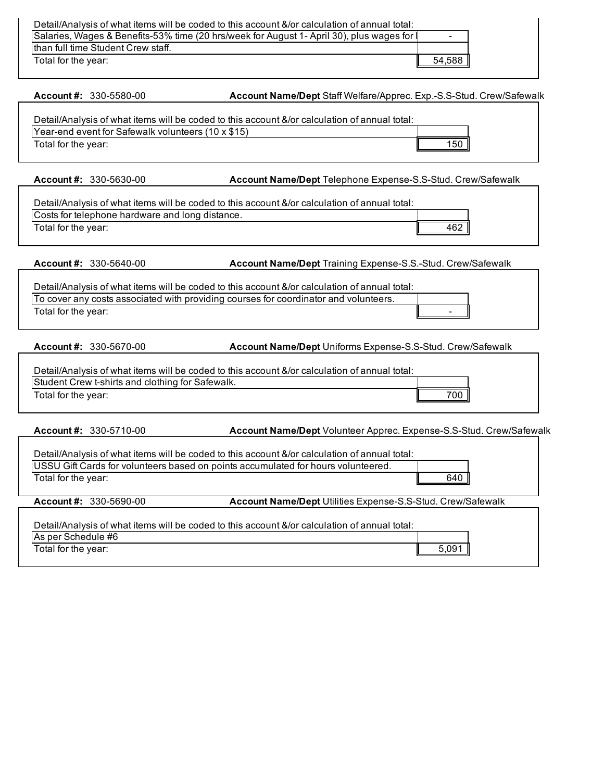| Detail/Analysis of what items will be coded to this account &/or calculation of annual total: |        |
|-----------------------------------------------------------------------------------------------|--------|
| Salaries, Wages & Benefits-53% time (20 hrs/week for August 1- April 30), plus wages for      | -      |
| than full time Student Crew staff.                                                            |        |
| Total for the year:                                                                           | 54,588 |

Account #: 330-5580-00 **Account Name/Dept** Staff Welfare/Apprec. Exp.-S.S-Stud. Crew/Safewalk

| Detail/Analysis of what items will be coded to this account &/or calculation of annual total: |     |
|-----------------------------------------------------------------------------------------------|-----|
| Year-end event for Safewalk volunteers (10 x \$15)                                            |     |
| Total for the year:                                                                           | '50 |

**Account #:** 330-5630-00 **Account Name/Dept:**Telephone Expense-S.S-Stud. Crew/Safewalk

| Detail/Analysis of what items will be coded to this account &/or calculation of annual total: |     |
|-----------------------------------------------------------------------------------------------|-----|
| Costs for telephone hardware and long distance.                                               |     |
| Total for the year:                                                                           | 462 |

**Account #:** 330-5640-00 **Account Name/Dept:**Training Expense-S.S.-Stud. Crew/Safewalk

Detail/Analysis of what items will be coded to this account &/or calculation of annual total: To cover any costs associated with providing courses for coordinator and volunteers. Total for the year:

**Account #:** 330-5670-00 **Account Name/Dept:**Uniforms Expense-S.S-Stud. Crew/Safewalk

| Student Crew t-shirts and clothing for Safewalk.<br>700 <sub>1</sub><br>Total for the year: | Detail/Analysis of what items will be coded to this account &/or calculation of annual total: |  |
|---------------------------------------------------------------------------------------------|-----------------------------------------------------------------------------------------------|--|
|                                                                                             |                                                                                               |  |
|                                                                                             |                                                                                               |  |

**Account #:** 330-5710-00 **Account Name/Dept** Volunteer Apprec. Expense-S.S-Stud. Crew/Safewalk

|                              | Detail/Analysis of what items will be coded to this account &/or calculation of annual total: |       |
|------------------------------|-----------------------------------------------------------------------------------------------|-------|
|                              | USSU Gift Cards for volunteers based on points accumulated for hours volunteered.             |       |
| Total for the year:          |                                                                                               | 640   |
| Account #: $330 - 5690 - 00$ | Account Name/Dept Utilities Expense-S.S-Stud. Crew/Safewalk                                   |       |
|                              | Detail/Analysis of what items will be coded to this account &/or calculation of annual total: |       |
| As per Schedule #6           |                                                                                               |       |
| Total for the year:          |                                                                                               | 5.091 |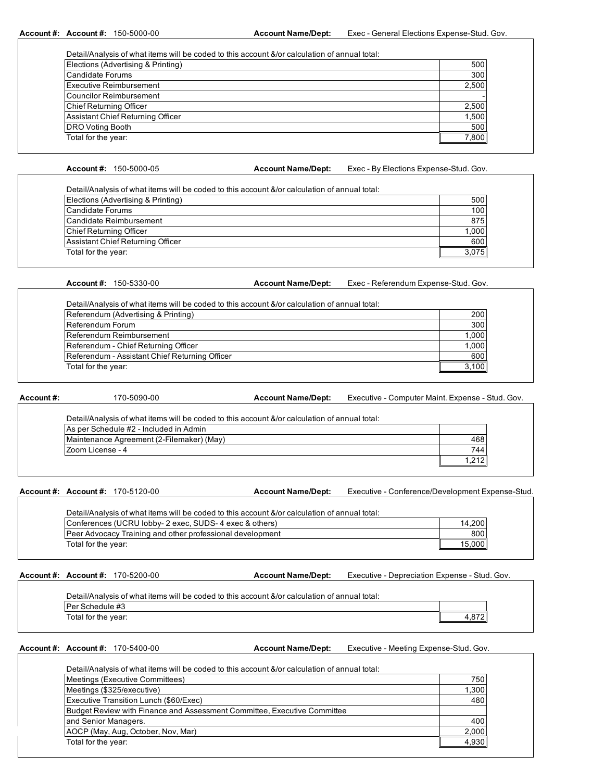**Account #: Account #:**

Account Name/Dept: Exec - General Elections Expense-Stud. Gov.

| Detail/Analysis of what items will be coded to this account &/or calculation of annual total: |       |
|-----------------------------------------------------------------------------------------------|-------|
| Elections (Advertising & Printing)                                                            | 500   |
| Candidate Forums                                                                              | 300   |
| <b>Executive Reimbursement</b>                                                                | 2,500 |
| <b>Councilor Reimbursement</b>                                                                |       |
| <b>Chief Returning Officer</b>                                                                | 2,500 |
| Assistant Chief Returning Officer                                                             | 1,500 |
| <b>DRO Voting Booth</b>                                                                       | 500   |
| Total for the year:                                                                           | 7.800 |

**Account #:**

Account Name/Dept: Exec - By Elections Expense-Stud. Gov.

| Elections (Advertising & Printing) | 500    |
|------------------------------------|--------|
| Candidate Forums                   | 100    |
| Candidate Reimbursement            | 875    |
| Chief Returning Officer            | 1,000  |
| Assistant Chief Returning Officer  | 600    |
| Total for the year:                | 3.075I |

**Account #:**

Account Name/Dept: Exec - Referendum Expense-Stud. Gov.

| Referendum (Advertising & Printing)            | 200       |
|------------------------------------------------|-----------|
| Referendum Forum                               | 300       |
| Referendum Reimbursement                       | 1,000     |
| Referendum - Chief Returning Officer           | 1,000     |
| Referendum - Assistant Chief Returning Officer | 600       |
| Total for the year:                            | $3,100$ . |

| Account #: | 170-5090-00                                                                                   | <b>Account Name/Dept:</b> | Executive - Computer Maint. Expense - Stud. Gov. |  |
|------------|-----------------------------------------------------------------------------------------------|---------------------------|--------------------------------------------------|--|
|            | Detail/Analysis of what items will be coded to this account &/or calculation of annual total: |                           |                                                  |  |
|            | As per Schedule #2 - Included in Admin                                                        |                           |                                                  |  |
|            | Maintenance Agreement (2-Filemaker) (May)                                                     |                           | 468                                              |  |
|            | lZoom License - 4                                                                             |                           | 744                                              |  |
|            |                                                                                               |                           | 1.212                                            |  |

**Account #: Account #:** 170-5120-00

Account Name/Dept: Executive - Conference/Development Expense-Stud.

| Detail/Analysis of what items will be coded to this account &/or calculation of annual total: |        |
|-----------------------------------------------------------------------------------------------|--------|
| Conferences (UCRU lobby-2 exec, SUDS-4 exec & others)                                         | 14.200 |
| <b>Peer Advocacy Training and other professional development</b>                              | 800    |
| Total for the year:                                                                           | 15.000 |

**Account #: Account #:**

Account Name/Dept: Executive - Depreciation Expense - Stud. Gov.

| Per Schedule #3 |  |  |
|-----------------|--|--|
|                 |  |  |

**Account #: Account #:**

Account Name/Dept: Executive - Meeting Expense-Stud. Gov.

| Meetings (Executive Committees)                                          | 750   |
|--------------------------------------------------------------------------|-------|
| Meetings (\$325/executive)                                               | 1,300 |
| Executive Transition Lunch (\$60/Exec)                                   | 480   |
| Budget Review with Finance and Assessment Committee, Executive Committee |       |
| and Senior Managers.                                                     | 400   |
| AOCP (May, Aug, October, Nov, Mar)                                       | 2,000 |
| Total for the year:                                                      | 4,930 |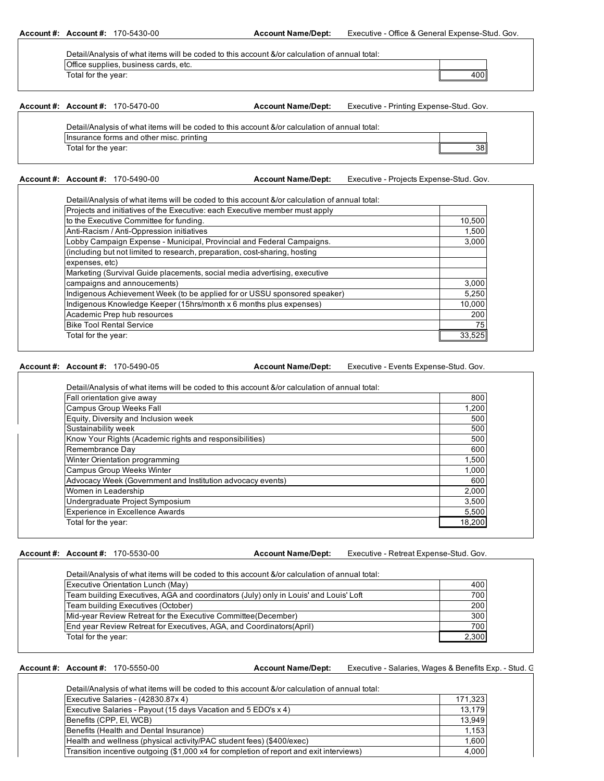**Account #: Account #:** 170-5430-00 **Account Name/Dept:** Executive - Office & General Expense-Stud. Gov.

| Detail/Analysis of what items will be coded to this account &/or calculation of annual total: |  |
|-----------------------------------------------------------------------------------------------|--|
| Office supplies, business cards, etc.                                                         |  |
| Total for the year:                                                                           |  |

### **Account #: Account #:** 170-5470-00

**Account Name/Dept:** Executive - Printing Expense-Stud. Gov.

| Detail/Analysis of what items will be coded to this account &/or calculation of annual total: |  |
|-----------------------------------------------------------------------------------------------|--|
| Insurance forms and other misc, printing                                                      |  |
| Total for the year:                                                                           |  |

**Account #: Account #:**

Account Name/Dept: Executive - Projects Expense-Stud. Gov.

400

| Projects and initiatives of the Executive: each Executive member must apply |        |
|-----------------------------------------------------------------------------|--------|
| to the Executive Committee for funding.                                     | 10,500 |
| Anti-Racism / Anti-Oppression initiatives                                   | 1,500  |
| Lobby Campaign Expense - Municipal, Provincial and Federal Campaigns.       | 3.000  |
| (including but not limited to research, preparation, cost-sharing, hosting  |        |
| expenses, etc)                                                              |        |
| Marketing (Survival Guide placements, social media advertising, executive   |        |
| campaigns and annoucements)                                                 | 3,000  |
| Indigenous Achievement Week (to be applied for or USSU sponsored speaker)   | 5,250  |
| Indigenous Knowledge Keeper (15hrs/month x 6 months plus expenses)          | 10.000 |
| Academic Prep hub resources                                                 | 200    |
| <b>Bike Tool Rental Service</b>                                             | 75     |
| Total for the year:                                                         | 33,525 |

### **Account #: Account #:** 170-5490-05

**Account Name/Dept:** Executive - Events Expense-Stud. Gov.

| Fall orientation give away                                 | 800    |
|------------------------------------------------------------|--------|
| Campus Group Weeks Fall                                    | 1,200  |
| Equity, Diversity and Inclusion week                       | 500    |
| Sustainability week                                        | 500    |
| Know Your Rights (Academic rights and responsibilities)    | 500    |
| Remembrance Day                                            | 600    |
| Winter Orientation programming                             | 1,500  |
| <b>Campus Group Weeks Winter</b>                           | 1,000  |
| Advocacy Week (Government and Institution advocacy events) | 600    |
| Women in Leadership                                        | 2,000  |
| Undergraduate Project Symposium                            | 3,500  |
| <b>Experience in Excellence Awards</b>                     | 5,500  |
| Total for the year:                                        | 18,200 |

## **Account #: Account #:**

Account Name/Dept: Executive - Retreat Expense-Stud. Gov.

| Executive Orientation Lunch (May)                                                    | 400   |
|--------------------------------------------------------------------------------------|-------|
| Team building Executives, AGA and coordinators (July) only in Louis' and Louis' Loft | 700   |
| Team building Executives (October)                                                   | 200   |
| Mid-year Review Retreat for the Executive Committee (December)                       | 300   |
| End year Review Retreat for Executives, AGA, and Coordinators (April)                | 700   |
| Total for the year:                                                                  | 2,300 |

**Account #: Account #:**

Account Name/Dept: Executive - Salaries, Wages & Benefits Exp. - Stud. G

| Detail/Analysis of what items will be coded to this account &/or calculation of annual total: |         |
|-----------------------------------------------------------------------------------------------|---------|
| Executive Salaries - (42830.87x 4)                                                            | 171,323 |
| Executive Salaries - Payout (15 days Vacation and 5 EDO's x 4)                                | 13.179  |
| Benefits (CPP, EI, WCB)                                                                       | 13.949  |
| Benefits (Health and Dental Insurance)                                                        | 1.153   |
| Health and wellness (physical activity/PAC student fees) (\$400/exec)                         | 1,600   |
| Transition incentive outgoing (\$1,000 x4 for completion of report and exit interviews)       | 4.000   |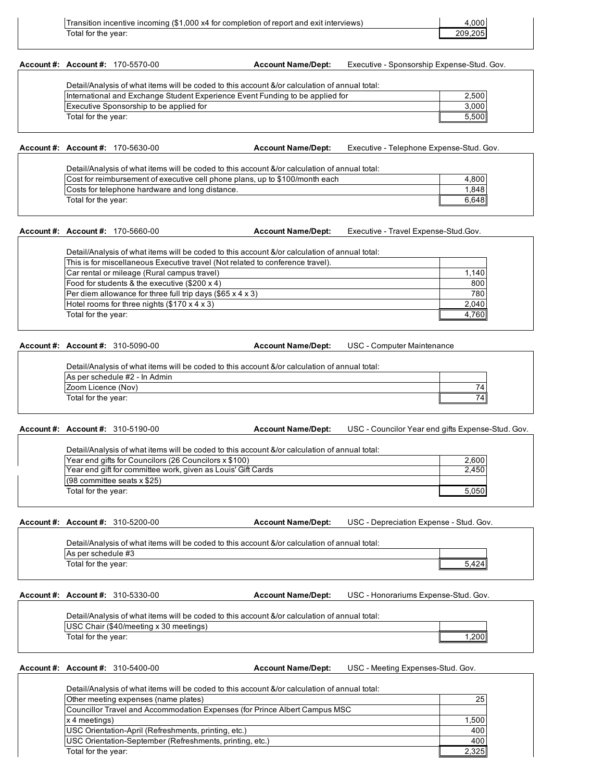| Transition incentive incoming (\$1,000 x4 for completion of report and exit interviews) | .000    |
|-----------------------------------------------------------------------------------------|---------|
| Total for the year:                                                                     | 209.205 |

**Account #: Account #:**

Account Name/Dept: Executive - Sponsorship Expense-Stud. Gov.

| International and Exchange Student Experience Event Funding to be applied for | 2,500 |
|-------------------------------------------------------------------------------|-------|
| Executive Sponsorship to be applied for                                       | 3,000 |
| Total for the year:                                                           | 5.500 |

**Account #: Account #:**

Account Name/Dept: Executive - Telephone Expense-Stud. Gov.

| Detail/Analysis of what items will be coded to this account &/or calculation of annual total: |       |
|-----------------------------------------------------------------------------------------------|-------|
| Cost for reimbursement of executive cell phone plans, up to \$100/month each                  | 4,800 |
| Costs for telephone hardware and long distance.                                               | 1.848 |
| Total for the year:                                                                           | 6.648 |

## **Account #: Account #:**

Account Name/Dept: Executive - Travel Expense-Stud.Gov.

| This is for miscellaneous Executive travel (Not related to conference travel). |       |
|--------------------------------------------------------------------------------|-------|
| Car rental or mileage (Rural campus travel)                                    | 1,140 |
| Food for students & the executive (\$200 x 4)                                  | 800   |
| Per diem allowance for three full trip days $(\$65 x 4 x 3)$                   | 780   |
| Hotel rooms for three nights (\$170 x 4 x 3)                                   | 2,040 |
| Total for the year:                                                            | 4.760 |

**Account #: Account #:**

Account Name/Dept: USC - Computer Maintenance

| Detail/Analysis of what items will be coded to this account &/or calculation of annual total: |     |
|-----------------------------------------------------------------------------------------------|-----|
| As per schedule #2 - In Admin                                                                 |     |
| Zoom Licence (Nov)                                                                            | 7 Д |
| Total for the year:                                                                           |     |

**Account #: Account #:**

**Account Name/Dept:** USC - Councilor Year end gifts Expense-Stud. Gov.

| Year end gifts for Councilors (26 Councilors x \$100)        | 2,600 |
|--------------------------------------------------------------|-------|
| Year end gift for committee work, given as Louis' Gift Cards | 2.450 |
| $(98$ committee seats x \$25)                                |       |
| Total for the year:                                          | 5,050 |

**Account #: Account #:** 310-5200-00

USC - Depreciation Expense - Stud. Gov. **Account Name/Dept:**

5,424 As per schedule #3 Total for the year: Detail/Analysis of what items will be coded to this account &/or calculation of annual total:

**Account #: Account #:**

Account Name/Dept: USC - Honorariums Expense-Stud. Gov.

| Detail/Analysis of what items will be coded to this account &/or calculation of annual total: |      |
|-----------------------------------------------------------------------------------------------|------|
| USC Chair (\$40/meeting x 30 meetings)                                                        |      |
| Total for the year:                                                                           | .200 |

**Account #: Account #:**

Account Name/Dept: USC - Meeting Expenses-Stud. Gov.

| Detail/Analysis of what items will be coded to this account &/or calculation of annual total: |       |
|-----------------------------------------------------------------------------------------------|-------|
| Other meeting expenses (name plates)                                                          | 25    |
| Councillor Travel and Accommodation Expenses (for Prince Albert Campus MSC)                   |       |
| x 4 meetings)                                                                                 | 1,500 |
| USC Orientation-April (Refreshments, printing, etc.)                                          | 400   |
| USC Orientation-September (Refreshments, printing, etc.)                                      | 400   |
| Total for the year:                                                                           | 2.325 |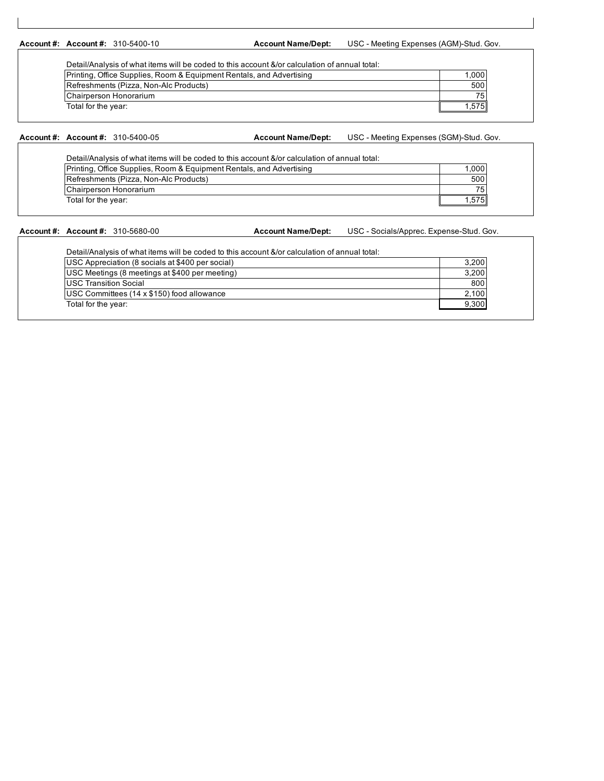**Account #: Account #:**

Account Name/Dept: USC - Meeting Expenses (AGM)-Stud. Gov.

| Printing, Office Supplies, Room & Equipment Rentals, and Advertising | 1.000 |
|----------------------------------------------------------------------|-------|
| Refreshments (Pizza, Non-Alc Products)                               | 500   |
| Chairperson Honorarium                                               | 75    |
| Total for the year:                                                  | 575   |

### **Account #: Account #:** 310-5400-05

**Account Name/Dept:** USC - Meeting Expenses (SGM)-Stud. Gov.

| Detail/Analysis of what items will be coded to this account &/or calculation of annual total: |       |
|-----------------------------------------------------------------------------------------------|-------|
| Printing, Office Supplies, Room & Equipment Rentals, and Advertising                          | 1,000 |
| Refreshments (Pizza, Non-Alc Products)                                                        | 500   |
| Chairperson Honorarium                                                                        | 75    |
| Total for the year:                                                                           | .575  |

## **Account #: Account #:**

Account Name/Dept: USC - Socials/Apprec. Expense-Stud. Gov.

| USC Appreciation (8 socials at \$400 per social) | 3,200 |
|--------------------------------------------------|-------|
| USC Meetings (8 meetings at \$400 per meeting)   | 3,200 |
| <b>IUSC Transition Social</b>                    | 800   |
| USC Committees (14 x \$150) food allowance       | 2,100 |
| Total for the year:                              | 9,300 |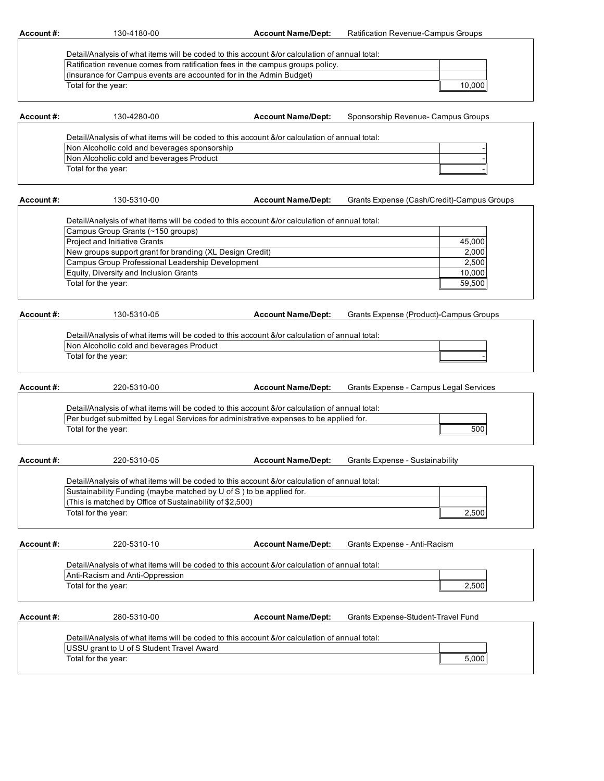**Account #:** 130-4180-00 **Account Name/Dept:** Ratification Revenue-Campus Groups

| Detail/Analysis of what items will be coded to this account &/or calculation of annual total: |                 |  |
|-----------------------------------------------------------------------------------------------|-----------------|--|
| Ratification revenue comes from ratification fees in the campus groups policy.                |                 |  |
| (Insurance for Campus events are accounted for in the Admin Budget)                           |                 |  |
| Total for the vear:                                                                           | 10.000 <b>1</b> |  |

| Account #: | 130-4280-00                                                                                   | <b>Account Name/Dept:</b> | Sponsorship Revenue- Campus Groups |  |  |
|------------|-----------------------------------------------------------------------------------------------|---------------------------|------------------------------------|--|--|
|            | Detail/Analysis of what items will be coded to this account &/or calculation of annual total: |                           |                                    |  |  |
|            |                                                                                               |                           |                                    |  |  |
|            | Non Alcoholic cold and beverages sponsorship                                                  |                           |                                    |  |  |
|            | Non Alcoholic cold and beverages Product                                                      |                           |                                    |  |  |
|            | Total for the year:                                                                           |                           |                                    |  |  |
|            |                                                                                               |                           |                                    |  |  |

| Account #: | Grants Expense (Cash/Credit)-Campus Groups<br><b>Account Name/Dept:</b><br>130-5310-00        |  |        |  |  |  |
|------------|-----------------------------------------------------------------------------------------------|--|--------|--|--|--|
|            |                                                                                               |  |        |  |  |  |
|            | Detail/Analysis of what items will be coded to this account &/or calculation of annual total: |  |        |  |  |  |
|            | Campus Group Grants (~150 groups)                                                             |  |        |  |  |  |
|            | <b>Project and Initiative Grants</b>                                                          |  | 45,000 |  |  |  |
|            | New groups support grant for branding (XL Design Credit)                                      |  | 2,000  |  |  |  |
|            | Campus Group Professional Leadership Development                                              |  | 2,500  |  |  |  |
|            | Equity, Diversity and Inclusion Grants                                                        |  | 10.000 |  |  |  |
|            | Total for the year:                                                                           |  | 59,500 |  |  |  |
|            |                                                                                               |  |        |  |  |  |

| Account #: | 130-5310-05                                                                                                                               | <b>Account Name/Dept:</b> | Grants Expense (Product)-Campus Groups |
|------------|-------------------------------------------------------------------------------------------------------------------------------------------|---------------------------|----------------------------------------|
|            | Detail/Analysis of what items will be coded to this account &/or calculation of annual total:<br>Non Alcoholic cold and beverages Product |                           |                                        |
|            | Total for the year:                                                                                                                       |                           |                                        |
| Account#:  | 220-5310-00                                                                                                                               | <b>Account Name/Dept:</b> | Grants Expense - Campus Legal Services |

| <br><u>__</u> ______                                                                          |  | $S1$ unto $S2$ inoo compuo Eogui ooi mooo |  |
|-----------------------------------------------------------------------------------------------|--|-------------------------------------------|--|
|                                                                                               |  |                                           |  |
| Detail/Analysis of what items will be coded to this account &/or calculation of annual total: |  |                                           |  |
| Per budget submitted by Legal Services for administrative expenses to be applied for.         |  |                                           |  |
| Total for the year:                                                                           |  | 500                                       |  |
|                                                                                               |  |                                           |  |

| Account#: | 220-5310-05                                                                                   | <b>Account Name/Dept:</b> | <b>Grants Expense - Sustainability</b> |       |
|-----------|-----------------------------------------------------------------------------------------------|---------------------------|----------------------------------------|-------|
|           |                                                                                               |                           |                                        |       |
|           | Detail/Analysis of what items will be coded to this account &/or calculation of annual total: |                           |                                        |       |
|           | Sustainability Funding (maybe matched by U of S) to be applied for.                           |                           |                                        |       |
|           | (This is matched by Office of Sustainability of \$2,500)                                      |                           |                                        |       |
|           | Total for the year:                                                                           |                           |                                        | 2,500 |
|           |                                                                                               |                           |                                        |       |

| Account#: |                |
|-----------|----------------|
|           |                |
|           | Detail/Analysi |
|           | $Am$ $Bm$ $Cm$ |

**Account #:** 220-5310-10 **Account Name/Dept:** Grants Expense - Anti-Racism

| Anti-Racism and Anti-Oppression |       |
|---------------------------------|-------|
| Total for the year:             | 2.500 |

Account #: 280-5310-00 Account Name/Dept: Grants Expense-Student-Travel Fund **Account Name/Dept:**

| Detail/Analysis of what items will be coded to this account &/or calculation of annual total: |  |  |
|-----------------------------------------------------------------------------------------------|--|--|
| USSU grant to U of S Student Travel Award                                                     |  |  |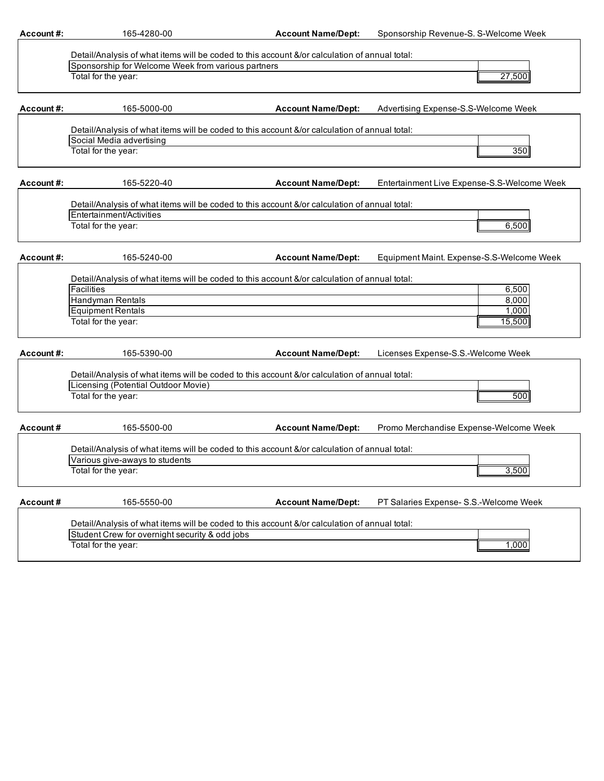| Account#:  | 165-4280-00                                                                                                                                         | <b>Account Name/Dept:</b> | Sponsorship Revenue-S. S-Welcome Week       |
|------------|-----------------------------------------------------------------------------------------------------------------------------------------------------|---------------------------|---------------------------------------------|
|            |                                                                                                                                                     |                           |                                             |
|            | Detail/Analysis of what items will be coded to this account &/or calculation of annual total:<br>Sponsorship for Welcome Week from various partners |                           |                                             |
|            | Total for the year:                                                                                                                                 |                           | 27,500                                      |
|            |                                                                                                                                                     |                           |                                             |
| Account#:  | 165-5000-00                                                                                                                                         | <b>Account Name/Dept:</b> | Advertising Expense-S.S-Welcome Week        |
|            | Detail/Analysis of what items will be coded to this account &/or calculation of annual total:                                                       |                           |                                             |
|            | Social Media advertising                                                                                                                            |                           |                                             |
|            | Total for the year:                                                                                                                                 |                           | 350                                         |
| Account#:  | 165-5220-40                                                                                                                                         | <b>Account Name/Dept:</b> | Entertainment Live Expense-S.S-Welcome Week |
|            |                                                                                                                                                     |                           |                                             |
|            | Detail/Analysis of what items will be coded to this account &/or calculation of annual total:                                                       |                           |                                             |
|            | Entertainment/Activities                                                                                                                            |                           |                                             |
|            | Total for the year:                                                                                                                                 |                           | 6,500                                       |
| Account #: | 165-5240-00                                                                                                                                         | <b>Account Name/Dept:</b> | Equipment Maint. Expense-S.S-Welcome Week   |
|            | Detail/Analysis of what items will be coded to this account &/or calculation of annual total:                                                       |                           |                                             |
|            | <b>Facilities</b>                                                                                                                                   |                           | 6,500                                       |
|            | Handyman Rentals                                                                                                                                    |                           | 8,000                                       |
|            | <b>Equipment Rentals</b>                                                                                                                            |                           | 1,000                                       |
|            | Total for the year:                                                                                                                                 |                           | 15,500                                      |
| Account#:  | 165-5390-00                                                                                                                                         | <b>Account Name/Dept:</b> | Licenses Expense-S.S.-Welcome Week          |
|            | Detail/Analysis of what items will be coded to this account &/or calculation of annual total:                                                       |                           |                                             |
|            | Licensing (Potential Outdoor Movie)                                                                                                                 |                           |                                             |
|            | Total for the year:                                                                                                                                 |                           | 500                                         |
| Account#   | 165-5500-00                                                                                                                                         | <b>Account Name/Dept:</b> | Promo Merchandise Expense-Welcome Week      |
|            | Detail/Analysis of what items will be coded to this account &/or calculation of annual total:                                                       |                           |                                             |
|            | Various give-aways to students                                                                                                                      |                           |                                             |
|            | Total for the year:                                                                                                                                 |                           | 3,500                                       |
| Account#   | 165-5550-00                                                                                                                                         | <b>Account Name/Dept:</b> | PT Salaries Expense- S.S.-Welcome Week      |
|            | Detail/Analysis of what items will be coded to this account &/or calculation of annual total:                                                       |                           |                                             |
|            | Student Crew for overnight security & odd jobs                                                                                                      |                           |                                             |
|            | Total for the year:                                                                                                                                 |                           | 1,000                                       |
|            |                                                                                                                                                     |                           |                                             |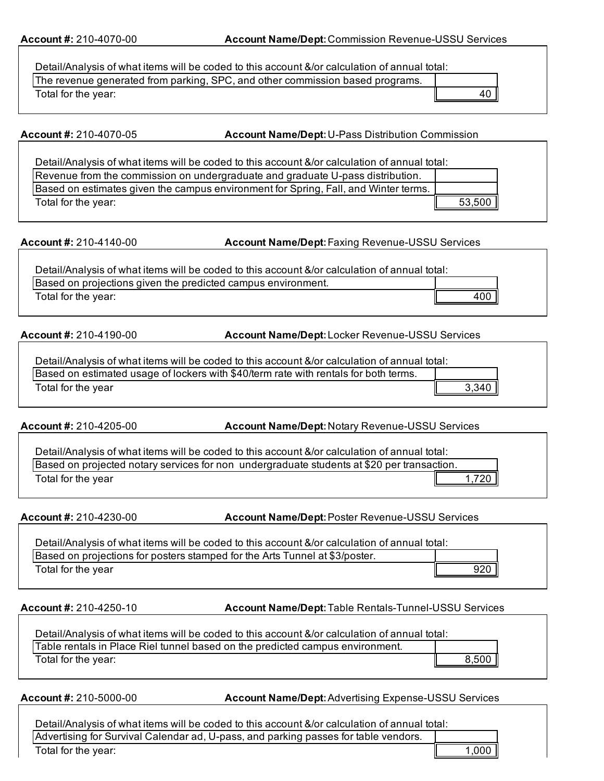| The revenue generated from parking, SPC, and other commission based programs.<br>40 I<br>Total for the year: | Detail/Analysis of what items will be coded to this account &/or calculation of annual total: |  |
|--------------------------------------------------------------------------------------------------------------|-----------------------------------------------------------------------------------------------|--|
|                                                                                                              |                                                                                               |  |
|                                                                                                              |                                                                                               |  |

**Account #:** 210-4070-05 **Account Name/Dept:**U-Pass Distribution Commission

| Detail/Analysis of what items will be coded to this account &/or calculation of annual total: |        |
|-----------------------------------------------------------------------------------------------|--------|
| Revenue from the commission on undergraduate and graduate U-pass distribution.                |        |
| Based on estimates given the campus environment for Spring, Fall, and Winter terms.           |        |
| Total for the year:                                                                           | 53,500 |

**Account #:** 210-4140-00 **Account Name/Dept:**Faxing Revenue-USSU Services

| Detail/Analysis of what items will be coded to this account &/or calculation of annual total: |     |
|-----------------------------------------------------------------------------------------------|-----|
| Based on projections given the predicted campus environment.                                  |     |
| Total for the year:                                                                           | 400 |

**Account #:** 210-4190-00 **Account Name/Dept:**Locker Revenue-USSU Services

**Account #:** 210-4205-00 **Account Name/Dept:**Notary Revenue-USSU Services

| Detail/Analysis of what items will be coded to this account &/or calculation of annual total: |                           |
|-----------------------------------------------------------------------------------------------|---------------------------|
| Based on projected notary services for non undergraduate students at \$20 per transaction.    |                           |
| Total for the year                                                                            | $1,720$ in $\overline{ }$ |

**Account #:** 210-4230-00 **Account Name/Dept:**Poster Revenue-USSU Services

| Detail/Analysis of what items will be coded to this account &/or calculation of annual total: |     |
|-----------------------------------------------------------------------------------------------|-----|
| Based on projections for posters stamped for the Arts Tunnel at \$3/poster.                   |     |
| Total for the year                                                                            | 920 |

**Account #:** 210-4250-10 **Account Name/Dept:**Table Rentals-Tunnel-USSU Services

| Detail/Analysis of what items will be coded to this account &/or calculation of annual total: |       |  |
|-----------------------------------------------------------------------------------------------|-------|--|
| Table rentals in Place Riel tunnel based on the predicted campus environment.                 |       |  |
| Total for the year:                                                                           | 8,500 |  |
|                                                                                               |       |  |

**Account #:** 210-5000-00 **Account Name/Dept:**Advertising Expense-USSU Services

| Detail/Analysis of what items will be coded to this account &/or calculation of annual total: |       |  |
|-----------------------------------------------------------------------------------------------|-------|--|
| Advertising for Survival Calendar ad, U-pass, and parking passes for table vendors.           |       |  |
| Total for the year:                                                                           | 1,000 |  |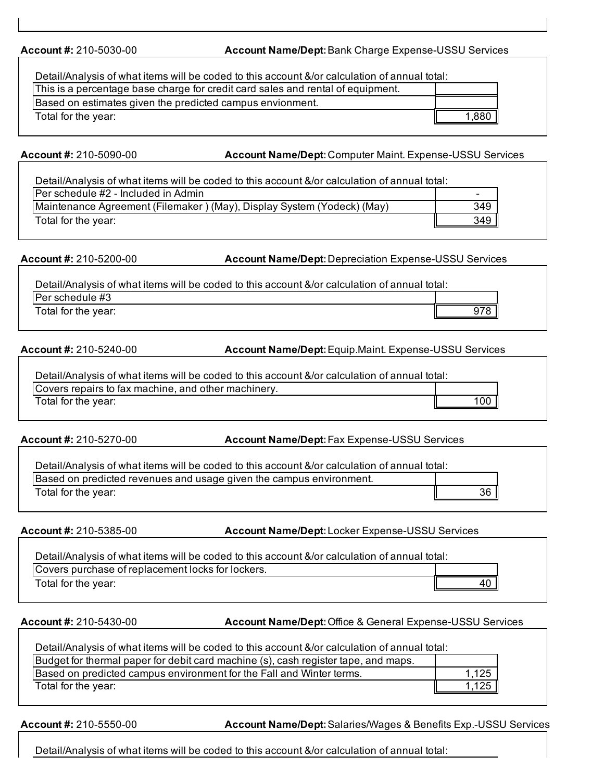**Account #:** 210-5030-00 **Account Name/Dept:**Bank Charge Expense-USSU Services

| Detail/Analysis of what items will be coded to this account &/or calculation of annual total: |       |
|-----------------------------------------------------------------------------------------------|-------|
| This is a percentage base charge for credit card sales and rental of equipment.               |       |
| Based on estimates given the predicted campus envionment.                                     |       |
| Total for the year:                                                                           | 1.880 |

**Account #:** 210-5090-00 **Account Name/Dept:**Computer Maint. Expense-USSU Services

| Detail/Analysis of what items will be coded to this account &/or calculation of annual total: |     |
|-----------------------------------------------------------------------------------------------|-----|
| Per schedule #2 - Included in Admin                                                           |     |
| Maintenance Agreement (Filemaker) (May), Display System (Yodeck) (May)                        | 349 |
| Total for the year:                                                                           | 349 |

**Account #:** 210-5200-00 **Account Name/Dept:**Depreciation Expense-USSU Services

| Detail/Analysis of what items will be coded to this account &/or calculation of annual total: |     |
|-----------------------------------------------------------------------------------------------|-----|
| Per schedule #3                                                                               |     |
| Total for the year:                                                                           | ៱70 |

**Account #:** 210-5240-00 **Account Name/Dept:**Equip.Maint. Expense-USSU Services

| Detail/Analysis of what items will be coded to this account &/or calculation of annual total: |    |
|-----------------------------------------------------------------------------------------------|----|
| Covers repairs to fax machine, and other machinery.                                           |    |
| Total for the year:                                                                           | 00 |

**Account #:** 210-5270-00 **Account Name/Dept:**Fax Expense-USSU Services

| Detail/Analysis of what items will be coded to this account &/or calculation of annual total: |    |
|-----------------------------------------------------------------------------------------------|----|
| Based on predicted revenues and usage given the campus environment.                           |    |
| Total for the year:                                                                           | 36 |

**Account #:** 210-5385-00 **Account Name/Dept:**Locker Expense-USSU Services

| Detail/Analysis of what items will be coded to this account &/or calculation of annual total: |    |  |
|-----------------------------------------------------------------------------------------------|----|--|
| Covers purchase of replacement locks for lockers.                                             |    |  |
| Total for the year:                                                                           | 40 |  |

**Account #:** 210-5430-00 **Account Name/Dept:**Office & General Expense-USSU Services

| Detail/Analysis of what items will be coded to this account &/or calculation of annual total: |       |
|-----------------------------------------------------------------------------------------------|-------|
| Budget for thermal paper for debit card machine (s), cash register tape, and maps.            |       |
| Based on predicted campus environment for the Fall and Winter terms.                          | 1,125 |
| Total for the year:                                                                           | 1,125 |

**Account #:** 210-5550-00 **Account Name/Dept:**Salaries/Wages & Benefits Exp.-USSU Services

Detail/Analysis of what items will be coded to this account &/or calculation of annual total: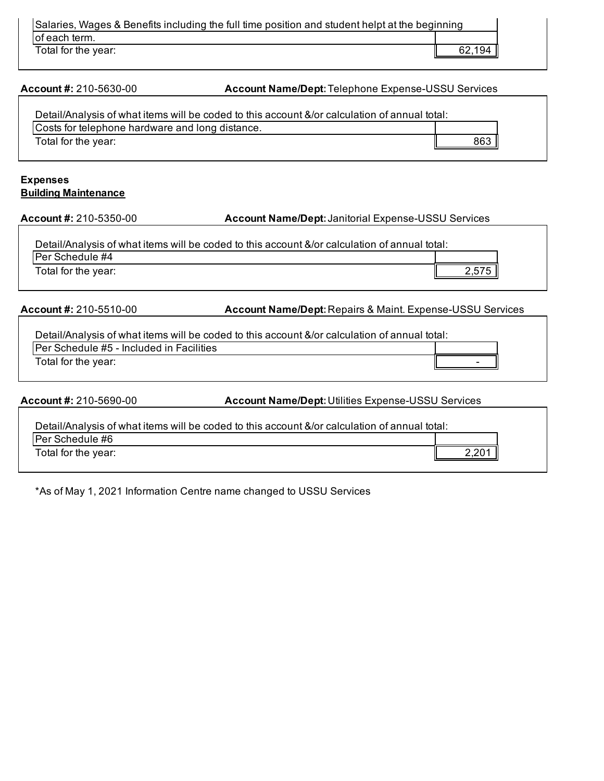| Salaries, Wages & Benefits including the full time position and student helpt at the beginning |        |
|------------------------------------------------------------------------------------------------|--------|
| of each term.                                                                                  |        |
| Total for the year:                                                                            | 62,194 |

**Account #:** 210-5630-00 **Account Name/Dept:**Telephone Expense-USSU Services

| Detail/Analysis of what items will be coded to this account &/or calculation of annual total: |     |
|-----------------------------------------------------------------------------------------------|-----|
| Costs for telephone hardware and long distance.                                               |     |
| Total for the year:                                                                           | 863 |

## **Expenses Building Maintenance**

**Account #:** 210-5350-00 **Account Name/Dept:**Janitorial Expense-USSU Services

| Detail/Analysis of what items will be coded to this account &/or calculation of annual total: |  |
|-----------------------------------------------------------------------------------------------|--|
| IPer Schedule #4                                                                              |  |
| Total for the year:                                                                           |  |

**Account #:** 210-5510-00 **Account Name/Dept:**Repairs & Maint. Expense-USSU Services

٦

| Detail/Analysis of what items will be coded to this account &/or calculation of annual total: |  |
|-----------------------------------------------------------------------------------------------|--|
| <b>Per Schedule #5 - Included in Facilities</b>                                               |  |
| Total for the year:                                                                           |  |

|                                                                                               | <b>Account Name/Dept: Utilities Expense-USSU Services</b> |
|-----------------------------------------------------------------------------------------------|-----------------------------------------------------------|
| Detail/Analysis of what items will be coded to this account &/or calculation of annual total: |                                                           |
|                                                                                               | 2.201                                                     |
|                                                                                               |                                                           |

\*As of May 1, 2021 Information Centre name changed to USSU Services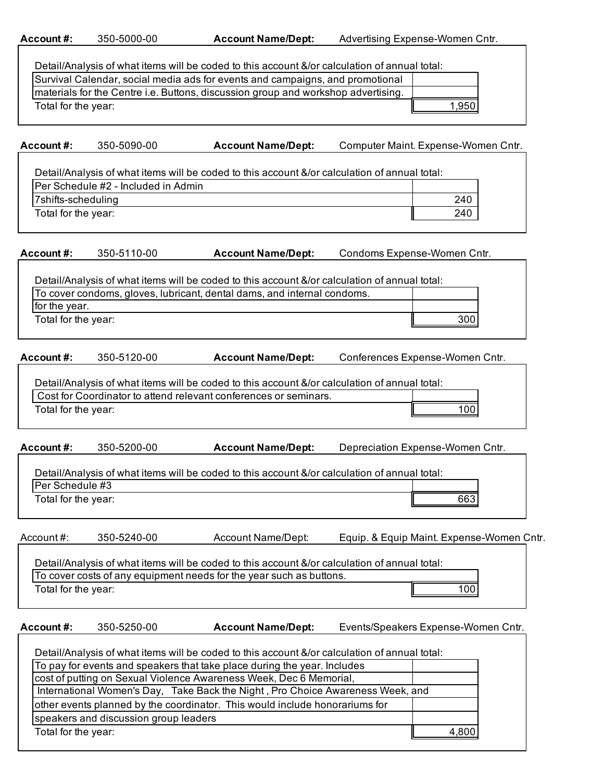| Account#:           | 350-5000-00                           | <b>Account Name/Dept:</b>                                                                                                                                                | Advertising Expense-Women Cntr.  |                                           |
|---------------------|---------------------------------------|--------------------------------------------------------------------------------------------------------------------------------------------------------------------------|----------------------------------|-------------------------------------------|
|                     |                                       |                                                                                                                                                                          |                                  |                                           |
|                     |                                       | Detail/Analysis of what items will be coded to this account &/or calculation of annual total:                                                                            |                                  |                                           |
|                     |                                       | Survival Calendar, social media ads for events and campaigns, and promotional                                                                                            |                                  |                                           |
|                     |                                       | materials for the Centre i.e. Buttons, discussion group and workshop advertising.                                                                                        |                                  |                                           |
| Total for the year: |                                       |                                                                                                                                                                          |                                  | 1,950                                     |
| Account#:           | 350-5090-00                           | <b>Account Name/Dept:</b>                                                                                                                                                |                                  | Computer Maint. Expense-Women Cntr.       |
|                     |                                       |                                                                                                                                                                          |                                  |                                           |
|                     |                                       | Detail/Analysis of what items will be coded to this account &/or calculation of annual total:                                                                            |                                  |                                           |
|                     | Per Schedule #2 - Included in Admin   |                                                                                                                                                                          |                                  |                                           |
| 7shifts-scheduling  |                                       |                                                                                                                                                                          |                                  | 240                                       |
| Total for the year: |                                       |                                                                                                                                                                          |                                  | 240                                       |
| Account#:           | 350-5110-00                           | <b>Account Name/Dept:</b>                                                                                                                                                | Condoms Expense-Women Cntr.      |                                           |
|                     |                                       |                                                                                                                                                                          |                                  |                                           |
|                     |                                       | Detail/Analysis of what items will be coded to this account &/or calculation of annual total:<br>To cover condoms, gloves, lubricant, dental dams, and internal condoms. |                                  |                                           |
| for the year.       |                                       |                                                                                                                                                                          |                                  |                                           |
| Total for the year: |                                       |                                                                                                                                                                          |                                  | 300                                       |
|                     |                                       |                                                                                                                                                                          |                                  |                                           |
| Account#:           | 350-5120-00                           | <b>Account Name/Dept:</b>                                                                                                                                                | Conferences Expense-Women Cntr.  |                                           |
|                     |                                       |                                                                                                                                                                          |                                  |                                           |
|                     |                                       | Detail/Analysis of what items will be coded to this account &/or calculation of annual total:<br>Cost for Coordinator to attend relevant conferences or seminars.        |                                  |                                           |
|                     |                                       |                                                                                                                                                                          |                                  |                                           |
| Total for the year: |                                       |                                                                                                                                                                          |                                  | 100                                       |
| Account#:           | 350-5200-00                           | <b>Account Name/Dept:</b>                                                                                                                                                | Depreciation Expense-Women Cntr. |                                           |
|                     |                                       | Detail/Analysis of what items will be coded to this account &/or calculation of annual total:                                                                            |                                  |                                           |
| Per Schedule #3     |                                       |                                                                                                                                                                          |                                  |                                           |
| Total for the year: |                                       |                                                                                                                                                                          |                                  | 663                                       |
|                     |                                       |                                                                                                                                                                          |                                  |                                           |
| Account#:           | 350-5240-00                           | Account Name/Dept:                                                                                                                                                       |                                  | Equip. & Equip Maint. Expense-Women Cntr. |
|                     |                                       | Detail/Analysis of what items will be coded to this account &/or calculation of annual total:                                                                            |                                  |                                           |
|                     |                                       | To cover costs of any equipment needs for the year such as buttons.                                                                                                      |                                  |                                           |
| Total for the year: |                                       |                                                                                                                                                                          |                                  | 100                                       |
|                     |                                       |                                                                                                                                                                          |                                  |                                           |
| Account#:           | 350-5250-00                           | <b>Account Name/Dept:</b>                                                                                                                                                |                                  | Events/Speakers Expense-Women Cntr.       |
|                     |                                       | Detail/Analysis of what items will be coded to this account &/or calculation of annual total:                                                                            |                                  |                                           |
|                     |                                       | To pay for events and speakers that take place during the year. Includes                                                                                                 |                                  |                                           |
|                     |                                       | cost of putting on Sexual Violence Awareness Week, Dec 6 Memorial,                                                                                                       |                                  |                                           |
|                     |                                       | International Women's Day, Take Back the Night, Pro Choice Awareness Week, and                                                                                           |                                  |                                           |
|                     |                                       | other events planned by the coordinator. This would include honorariums for                                                                                              |                                  |                                           |
|                     | speakers and discussion group leaders |                                                                                                                                                                          |                                  |                                           |
| Total for the year: |                                       |                                                                                                                                                                          |                                  | 4,800                                     |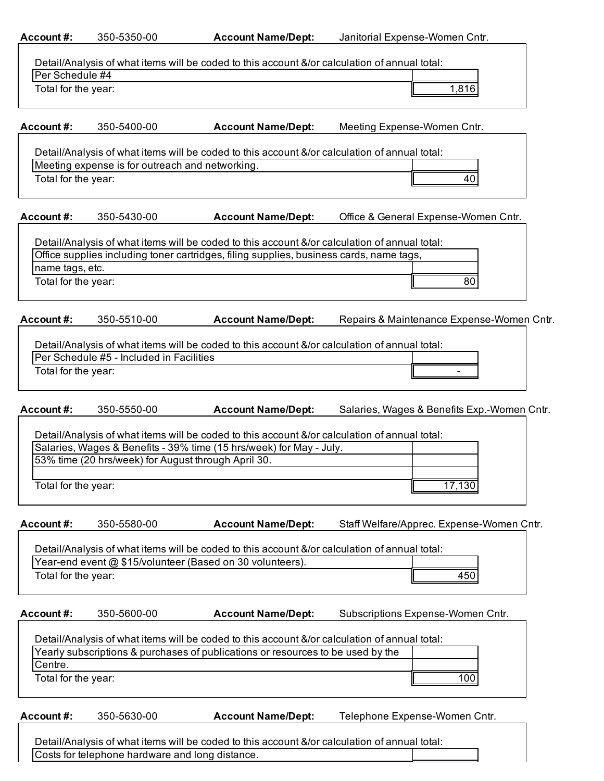| Account#:           | 350-5350-00                                         | <b>Account Name/Dept:</b>                                                                                                                                                        | Janitorial Expense-Women Cntr.              |
|---------------------|-----------------------------------------------------|----------------------------------------------------------------------------------------------------------------------------------------------------------------------------------|---------------------------------------------|
|                     |                                                     |                                                                                                                                                                                  |                                             |
|                     |                                                     | Detail/Analysis of what items will be coded to this account &/or calculation of annual total:                                                                                    |                                             |
| Per Schedule #4     |                                                     |                                                                                                                                                                                  |                                             |
| Total for the year: |                                                     |                                                                                                                                                                                  | 1,816                                       |
| Account#:           | 350-5400-00                                         | <b>Account Name/Dept:</b>                                                                                                                                                        | Meeting Expense-Women Cntr.                 |
|                     |                                                     |                                                                                                                                                                                  |                                             |
|                     | Meeting expense is for outreach and networking.     | Detail/Analysis of what items will be coded to this account &/or calculation of annual total:                                                                                    |                                             |
| Total for the year: |                                                     |                                                                                                                                                                                  | 40                                          |
|                     |                                                     |                                                                                                                                                                                  |                                             |
| Account#:           | 350-5430-00                                         | <b>Account Name/Dept:</b>                                                                                                                                                        | Office & General Expense-Women Cntr.        |
|                     |                                                     | Detail/Analysis of what items will be coded to this account &/or calculation of annual total:                                                                                    |                                             |
|                     |                                                     | Office supplies including toner cartridges, filing supplies, business cards, name tags,                                                                                          |                                             |
| name tags, etc.     |                                                     |                                                                                                                                                                                  |                                             |
| Total for the year: |                                                     |                                                                                                                                                                                  | 80                                          |
| Account#:           | 350-5510-00                                         | <b>Account Name/Dept:</b>                                                                                                                                                        | Repairs & Maintenance Expense-Women Cntr.   |
|                     |                                                     |                                                                                                                                                                                  |                                             |
|                     |                                                     | Detail/Analysis of what items will be coded to this account &/or calculation of annual total:                                                                                    |                                             |
|                     | Per Schedule #5 - Included in Facilities            |                                                                                                                                                                                  |                                             |
| Total for the year: |                                                     |                                                                                                                                                                                  |                                             |
| Account#:           | 350-5550-00                                         | <b>Account Name/Dept:</b>                                                                                                                                                        | Salaries, Wages & Benefits Exp.-Women Cntr. |
|                     |                                                     |                                                                                                                                                                                  |                                             |
|                     |                                                     | Detail/Analysis of what items will be coded to this account &/or calculation of annual total:                                                                                    |                                             |
|                     |                                                     | Salaries, Wages & Benefits - 39% time (15 hrs/week) for May - July.                                                                                                              |                                             |
|                     | 53% time (20 hrs/week) for August through April 30. |                                                                                                                                                                                  |                                             |
|                     |                                                     |                                                                                                                                                                                  |                                             |
| Total for the year: |                                                     |                                                                                                                                                                                  | 17,130                                      |
| Account#:           | 350-5580-00                                         | <b>Account Name/Dept:</b>                                                                                                                                                        | Staff Welfare/Apprec. Expense-Women Cntr.   |
|                     |                                                     |                                                                                                                                                                                  |                                             |
|                     |                                                     | Detail/Analysis of what items will be coded to this account &/or calculation of annual total:<br>Year-end event @ \$15/volunteer (Based on 30 volunteers).                       |                                             |
| Total for the year: |                                                     |                                                                                                                                                                                  | 450                                         |
|                     |                                                     |                                                                                                                                                                                  |                                             |
| Account#:           | 350-5600-00                                         | <b>Account Name/Dept:</b>                                                                                                                                                        | Subscriptions Expense-Women Cntr.           |
|                     |                                                     |                                                                                                                                                                                  |                                             |
|                     |                                                     | Detail/Analysis of what items will be coded to this account &/or calculation of annual total:<br>Yearly subscriptions & purchases of publications or resources to be used by the |                                             |
| Centre.             |                                                     |                                                                                                                                                                                  |                                             |
| Total for the year: |                                                     |                                                                                                                                                                                  | 100                                         |
|                     |                                                     |                                                                                                                                                                                  |                                             |
| Account#:           | 350-5630-00                                         | <b>Account Name/Dept:</b>                                                                                                                                                        | Telephone Expense-Women Cntr.               |
|                     |                                                     |                                                                                                                                                                                  |                                             |
|                     |                                                     | Detail/Analysis of what items will be coded to this account &/or calculation of annual total:                                                                                    |                                             |
|                     | Costs for telephone hardware and long distance.     |                                                                                                                                                                                  |                                             |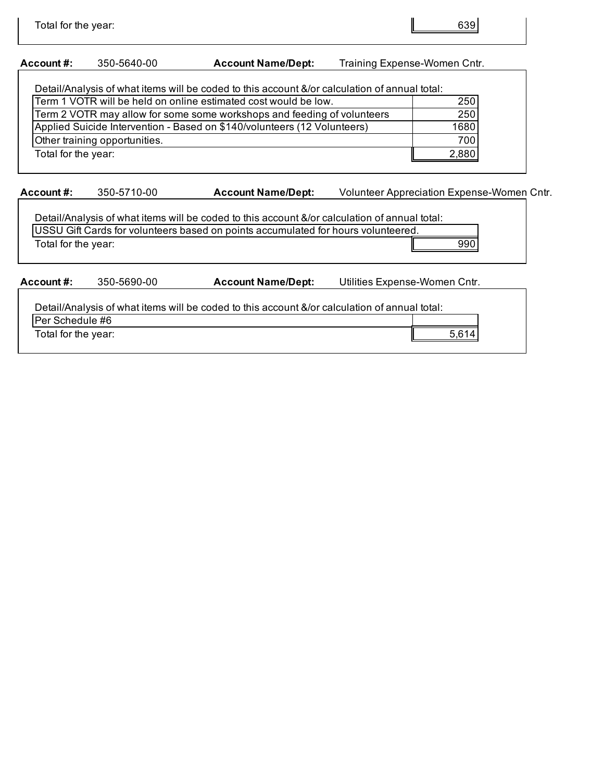## **Account #:** 350-5640-00 **Account Name/Dept:** Training Expense-Women Cntr.

| Detail/Analysis of what items will be coded to this account &/or calculation of annual total: |
|-----------------------------------------------------------------------------------------------|
| 250                                                                                           |
| 250                                                                                           |
| 1680                                                                                          |
| 700                                                                                           |
| 2,880                                                                                         |
|                                                                                               |

**Account #:** 350-5710-00 **Account Name/Dept:** Volunteer Appreciation Expense-Women Cntr.

Detail/Analysis of what items will be coded to this account &/or calculation of annual total: USSU Gift Cards for volunteers based on points accumulated for hours volunteered. Total for the year: 990

**Account #:** 350-5690-00 **Account Name/Dept:** Utilities Expense-Women Cntr.

Detail/Analysis of what items will be coded to this account &/or calculation of annual total:

Per Schedule #6 Total for the year: 5,614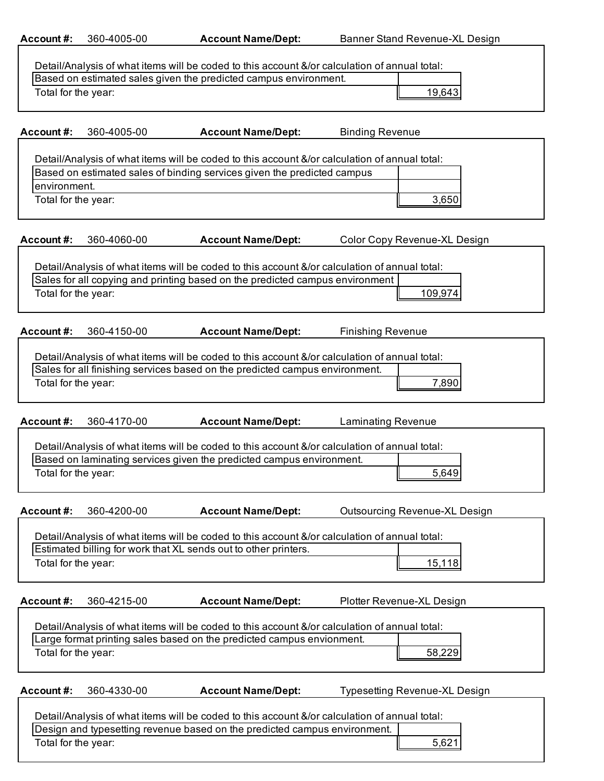**Account #:** 360-4005-00 **Account Name/Dept:** Banner Stand Revenue-XL Design

٦

|                                     |             | Detail/Analysis of what items will be coded to this account &/or calculation of annual total:                                                                                 |                           |                                      |
|-------------------------------------|-------------|-------------------------------------------------------------------------------------------------------------------------------------------------------------------------------|---------------------------|--------------------------------------|
|                                     |             | Based on estimated sales given the predicted campus environment.                                                                                                              |                           |                                      |
| Total for the year:                 |             |                                                                                                                                                                               |                           | 19,643                               |
| Account #:                          | 360-4005-00 | <b>Account Name/Dept:</b>                                                                                                                                                     | <b>Binding Revenue</b>    |                                      |
|                                     |             | Detail/Analysis of what items will be coded to this account &/or calculation of annual total:<br>Based on estimated sales of binding services given the predicted campus      |                           |                                      |
| environment.<br>Total for the year: |             |                                                                                                                                                                               |                           | 3,650                                |
| Account#:                           | 360-4060-00 | <b>Account Name/Dept:</b>                                                                                                                                                     |                           | Color Copy Revenue-XL Design         |
|                                     |             | Detail/Analysis of what items will be coded to this account &/or calculation of annual total:<br>Sales for all copying and printing based on the predicted campus environment |                           |                                      |
| Total for the year:                 |             |                                                                                                                                                                               |                           | 109,974                              |
| Account#:                           | 360-4150-00 | <b>Account Name/Dept:</b>                                                                                                                                                     | <b>Finishing Revenue</b>  |                                      |
|                                     |             | Detail/Analysis of what items will be coded to this account &/or calculation of annual total:<br>Sales for all finishing services based on the predicted campus environment.  |                           |                                      |
| Total for the year:                 |             |                                                                                                                                                                               |                           | 7,890                                |
| Account#:                           | 360-4170-00 | <b>Account Name/Dept:</b>                                                                                                                                                     | <b>Laminating Revenue</b> |                                      |
|                                     |             | Detail/Analysis of what items will be coded to this account &/or calculation of annual total:<br>Based on laminating services given the predicted campus environment.         |                           |                                      |
| Total for the year:                 |             |                                                                                                                                                                               |                           | 5,649                                |
| <b>Account#:</b>                    | 360-4200-00 | <b>Account Name/Dept:</b>                                                                                                                                                     |                           | <b>Outsourcing Revenue-XL Design</b> |
|                                     |             | Detail/Analysis of what items will be coded to this account &/or calculation of annual total:<br>Estimated billing for work that XL sends out to other printers.              |                           |                                      |
| Total for the year:                 |             |                                                                                                                                                                               |                           | 15,118                               |
| Account#:                           | 360-4215-00 | <b>Account Name/Dept:</b>                                                                                                                                                     |                           | Plotter Revenue-XL Design            |
|                                     |             | Detail/Analysis of what items will be coded to this account &/or calculation of annual total:<br>Large format printing sales based on the predicted campus envionment.        |                           |                                      |
| Total for the year:                 |             |                                                                                                                                                                               |                           | 58,229                               |
| Account#:                           | 360-4330-00 | <b>Account Name/Dept:</b>                                                                                                                                                     |                           | Typesetting Revenue-XL Design        |
|                                     |             | Detail/Analysis of what items will be coded to this account &/or calculation of annual total:<br>Design and typesetting revenue based on the predicted campus environment.    |                           |                                      |
| Total for the year:                 |             |                                                                                                                                                                               |                           | 5,621                                |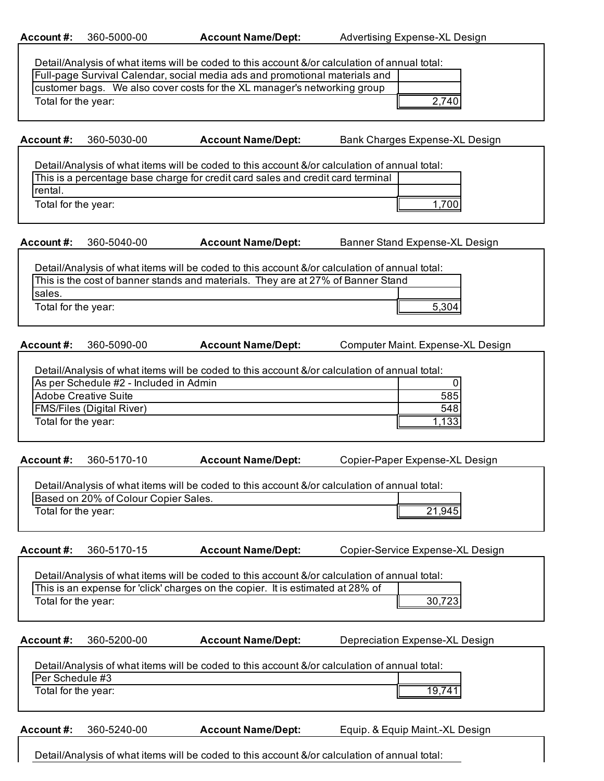| 360-5000-00<br>Account #: |  |
|---------------------------|--|
|---------------------------|--|

**Account Name/Dept:** Advertising Expense-XL Design

| Detail/Analysis of what items will be coded to this account &/or calculation of annual total: |
|-----------------------------------------------------------------------------------------------|
| <u>IEull pago Sungyal Calandar, social modio ado and promotional materials and </u>           |

| Full-page Survival Calendar, social media ads and promotional materials and |       |
|-----------------------------------------------------------------------------|-------|
| customer bags. We also cover costs for the XL manager's networking group    |       |
| Total for the year:                                                         | 2,740 |

**Account #:** 360-5030-00

**Account Name/Dept:** Bank Charges Expense-XL Design

Detail/Analysis of what items will be coded to this account &/or calculation of annual total:  $\overline{f}$ 

| This is a percentage base charge for credit card sales and credit card terminal |  |
|---------------------------------------------------------------------------------|--|
| Irental.                                                                        |  |
| Total for the year:                                                             |  |

**Account #:** 360-5040-00

**Account Name/Dept:** Banner Stand Expense-XL Design

Detail/Analysis of what items will be coded to this account &/or calculation of annual total: This is the cost of banner stands and materials. They are at 27% of Banner Stand sales. 5,304 Total for the year:

**Account #:** 360-5090-00 **Account Name/Dept:** Computer Maint. Expense-XL Design

| Detail/Analysis of what items will be coded to this account &/or calculation of annual total: |     |  |
|-----------------------------------------------------------------------------------------------|-----|--|
| As per Schedule #2 - Included in Admin                                                        |     |  |
| Adobe Creative Suite                                                                          | 585 |  |
| <b>FMS/Files (Digital River)</b>                                                              | 548 |  |
| Total for the year:                                                                           | 133 |  |
|                                                                                               |     |  |

**Account #:** 360-5170-10 **Account Name/Dept:** Copier-Paper Expense-XL Design

| Detail/Analysis of what items will be coded to this account &/or calculation of annual total: |        |  |
|-----------------------------------------------------------------------------------------------|--------|--|
| Based on 20% of Colour Copier Sales.                                                          |        |  |
| Total for the year:                                                                           | 21.945 |  |

**Account #:** 360-5170-15 **Account Name/Dept:** Copier-Service Expense-XL Design

| Detail/Analysis of what items will be coded to this account &/or calculation of annual total: |        |  |  |
|-----------------------------------------------------------------------------------------------|--------|--|--|
| This is an expense for 'click' charges on the copier. It is estimated at 28% of               |        |  |  |
| Total for the year:                                                                           | 30,723 |  |  |

| Account #:                             | 360-5200-00 | <b>Account Name/Dept:</b>                                                                     | Depreciation Expense-XL Design  |  |
|----------------------------------------|-------------|-----------------------------------------------------------------------------------------------|---------------------------------|--|
| Per Schedule #3<br>Total for the year: |             | Detail/Analysis of what items will be coded to this account &/or calculation of annual total: | 19.741                          |  |
| Account #:                             | 360-5240-00 | <b>Account Name/Dept:</b>                                                                     | Equip. & Equip Maint.-XL Design |  |

Detail/Analysis of what items will be coded to this account &/or calculation of annual total: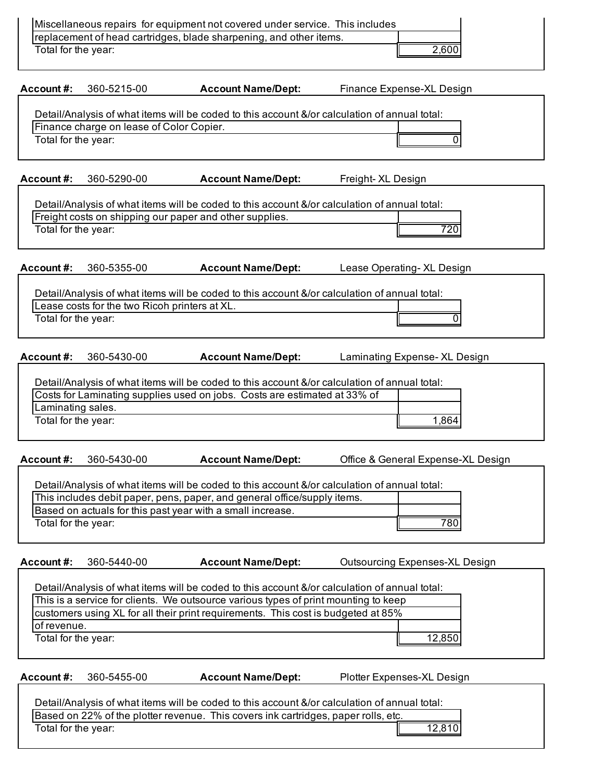| Miscellaneous repairs for equipment not covered under service. This includes<br>replacement of head cartridges, blade sharpening, and other items.<br>Total for the year:                                                                                                                                                 | 2,600                                                                                                  |  |  |  |  |
|---------------------------------------------------------------------------------------------------------------------------------------------------------------------------------------------------------------------------------------------------------------------------------------------------------------------------|--------------------------------------------------------------------------------------------------------|--|--|--|--|
| Account#:                                                                                                                                                                                                                                                                                                                 | <b>Account Name/Dept:</b>                                                                              |  |  |  |  |
| 360-5215-00                                                                                                                                                                                                                                                                                                               | Finance Expense-XL Design                                                                              |  |  |  |  |
| Finance charge on lease of Color Copier.                                                                                                                                                                                                                                                                                  | Detail/Analysis of what items will be coded to this account &/or calculation of annual total:          |  |  |  |  |
| Total for the year:                                                                                                                                                                                                                                                                                                       | 0                                                                                                      |  |  |  |  |
| Account#:                                                                                                                                                                                                                                                                                                                 | <b>Account Name/Dept:</b>                                                                              |  |  |  |  |
| 360-5290-00                                                                                                                                                                                                                                                                                                               | Freight- XL Design                                                                                     |  |  |  |  |
| Freight costs on shipping our paper and other supplies.                                                                                                                                                                                                                                                                   | Detail/Analysis of what items will be coded to this account &/or calculation of annual total:          |  |  |  |  |
| Total for the year:                                                                                                                                                                                                                                                                                                       | 720                                                                                                    |  |  |  |  |
| Account#:                                                                                                                                                                                                                                                                                                                 | <b>Account Name/Dept:</b>                                                                              |  |  |  |  |
| 360-5355-00                                                                                                                                                                                                                                                                                                               | Lease Operating- XL Design                                                                             |  |  |  |  |
| Lease costs for the two Ricoh printers at XL.                                                                                                                                                                                                                                                                             | Detail/Analysis of what items will be coded to this account &/or calculation of annual total:          |  |  |  |  |
| Total for the year:                                                                                                                                                                                                                                                                                                       | O                                                                                                      |  |  |  |  |
| 360-5430-00                                                                                                                                                                                                                                                                                                               | <b>Account Name/Dept:</b>                                                                              |  |  |  |  |
| Account #:                                                                                                                                                                                                                                                                                                                | Laminating Expense- XL Design                                                                          |  |  |  |  |
| Costs for Laminating supplies used on jobs. Costs are estimated at 33% of<br>Laminating sales.<br>Total for the year:                                                                                                                                                                                                     | Detail/Analysis of what items will be coded to this account &/or calculation of annual total:<br>1,864 |  |  |  |  |
| 360-5430-00                                                                                                                                                                                                                                                                                                               | Office & General Expense-XL Design                                                                     |  |  |  |  |
| Account #:                                                                                                                                                                                                                                                                                                                | <b>Account Name/Dept:</b>                                                                              |  |  |  |  |
| This includes debit paper, pens, paper, and general office/supply items.<br>Based on actuals for this past year with a small increase.<br>Total for the year:                                                                                                                                                             | Detail/Analysis of what items will be coded to this account &/or calculation of annual total:<br>780   |  |  |  |  |
| Account#:                                                                                                                                                                                                                                                                                                                 | <b>Account Name/Dept:</b>                                                                              |  |  |  |  |
| 360-5440-00                                                                                                                                                                                                                                                                                                               | <b>Outsourcing Expenses-XL Design</b>                                                                  |  |  |  |  |
| Detail/Analysis of what items will be coded to this account &/or calculation of annual total:<br>This is a service for clients. We outsource various types of print mounting to keep<br>customers using XL for all their print requirements. This cost is budgeted at 85%<br>of revenue.<br>Total for the year:<br>12,850 |                                                                                                        |  |  |  |  |
| Account#:                                                                                                                                                                                                                                                                                                                 | <b>Account Name/Dept:</b>                                                                              |  |  |  |  |
| 360-5455-00                                                                                                                                                                                                                                                                                                               | Plotter Expenses-XL Design                                                                             |  |  |  |  |
| Detail/Analysis of what items will be coded to this account &/or calculation of annual total:<br>Based on 22% of the plotter revenue. This covers ink cartridges, paper rolls, etc.<br>Total for the year:<br>12,810                                                                                                      |                                                                                                        |  |  |  |  |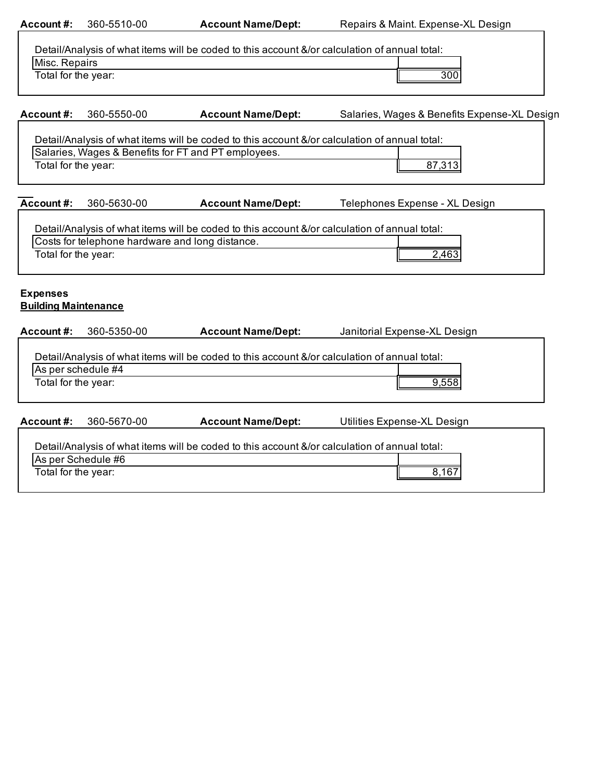| Account#:                                                                                                      | 360-5510-00                                     | <b>Account Name/Dept:</b>                                                                     | Repairs & Maint. Expense-XL Design           |  |  |
|----------------------------------------------------------------------------------------------------------------|-------------------------------------------------|-----------------------------------------------------------------------------------------------|----------------------------------------------|--|--|
| Detail/Analysis of what items will be coded to this account &/or calculation of annual total:<br>Misc. Repairs |                                                 |                                                                                               |                                              |  |  |
| Total for the year:                                                                                            |                                                 |                                                                                               | 300                                          |  |  |
|                                                                                                                |                                                 |                                                                                               |                                              |  |  |
| Account#:                                                                                                      | 360-5550-00                                     | <b>Account Name/Dept:</b>                                                                     | Salaries, Wages & Benefits Expense-XL Design |  |  |
|                                                                                                                |                                                 | Detail/Analysis of what items will be coded to this account &/or calculation of annual total: |                                              |  |  |
| Total for the year:                                                                                            |                                                 | Salaries, Wages & Benefits for FT and PT employees.                                           |                                              |  |  |
|                                                                                                                |                                                 |                                                                                               | 87,313                                       |  |  |
| Account#:                                                                                                      | 360-5630-00                                     | <b>Account Name/Dept:</b>                                                                     | Telephones Expense - XL Design               |  |  |
|                                                                                                                |                                                 | Detail/Analysis of what items will be coded to this account &/or calculation of annual total: |                                              |  |  |
|                                                                                                                | Costs for telephone hardware and long distance. |                                                                                               |                                              |  |  |
| Total for the year:                                                                                            |                                                 |                                                                                               | 2,463                                        |  |  |
|                                                                                                                |                                                 |                                                                                               |                                              |  |  |
| <b>Expenses</b><br><b>Building Maintenance</b>                                                                 |                                                 |                                                                                               |                                              |  |  |
|                                                                                                                |                                                 |                                                                                               |                                              |  |  |
| Account#:                                                                                                      | 360-5350-00                                     | <b>Account Name/Dept:</b>                                                                     | Janitorial Expense-XL Design                 |  |  |
|                                                                                                                |                                                 | Detail/Analysis of what items will be coded to this account &/or calculation of annual total: |                                              |  |  |
| As per schedule #4                                                                                             |                                                 |                                                                                               |                                              |  |  |
| Total for the year:                                                                                            |                                                 |                                                                                               | 9,558                                        |  |  |
|                                                                                                                |                                                 |                                                                                               |                                              |  |  |
| Account#:                                                                                                      | 360-5670-00                                     | <b>Account Name/Dept:</b>                                                                     | Utilities Expense-XL Design                  |  |  |
| Detail/Analysis of what items will be coded to this account &/or calculation of annual total:                  |                                                 |                                                                                               |                                              |  |  |
| As per Schedule #6                                                                                             |                                                 |                                                                                               |                                              |  |  |
| Total for the year:<br>8,167                                                                                   |                                                 |                                                                                               |                                              |  |  |